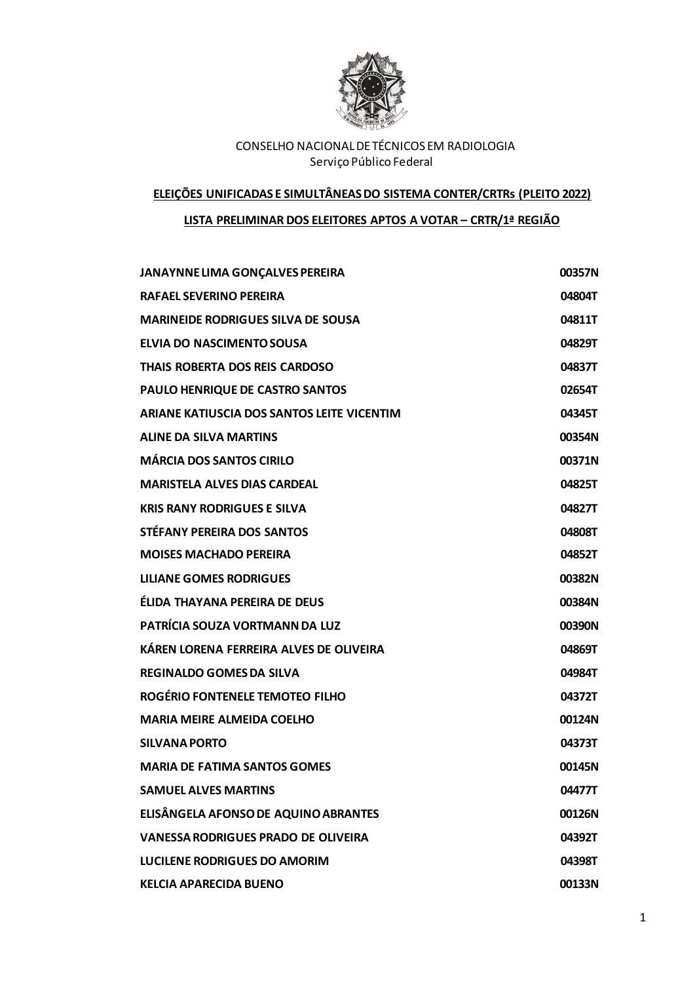

#### **ELEIÇÕES UNIFICADAS E SIMULTÂNEAS DO SISTEMA CONTER/CRTRs (PLEITO 2022)**

## **LISTA PRELIMINAR DOS ELEITORES APTOS A VOTAR – CRTR/1ª REGIÃO**

| JANAYNNE LIMA GONÇALVES PEREIRA            | 00357N |
|--------------------------------------------|--------|
| <b>RAFAEL SEVERINO PEREIRA</b>             | 04804T |
| <b>MARINEIDE RODRIGUES SILVA DE SOUSA</b>  | 04811T |
| ELVIA DO NASCIMENTO SOUSA                  | 04829T |
| THAIS ROBERTA DOS REIS CARDOSO             | 04837T |
| PAULO HENRIQUE DE CASTRO SANTOS            | 02654T |
| ARIANE KATIUSCIA DOS SANTOS LEITE VICENTIM | 04345T |
| <b>ALINE DA SILVA MARTINS</b>              | 00354N |
| <b>MÁRCIA DOS SANTOS CIRILO</b>            | 00371N |
| <b>MARISTELA ALVES DIAS CARDEAL</b>        | 04825T |
| <b>KRIS RANY RODRIGUES E SILVA</b>         | 04827T |
| STÉFANY PEREIRA DOS SANTOS                 | 04808T |
| <b>MOISES MACHADO PEREIRA</b>              | 04852T |
| <b>LILIANE GOMES RODRIGUES</b>             | 00382N |
| ÉLIDA THAYANA PEREIRA DE DEUS              | 00384N |
| PATRÍCIA SOUZA VORTMANN DA LUZ             | 00390N |
| KÁREN LORENA FERREIRA ALVES DE OLIVEIRA    | 04869T |
| <b>REGINALDO GOMES DA SILVA</b>            | 04984T |
| ROGÉRIO FONTENELE TEMOTEO FILHO            | 04372T |
| <b>MARIA MEIRE ALMEIDA COELHO</b>          | 00124N |
| <b>SILVANA PORTO</b>                       | 04373T |
| <b>MARIA DE FATIMA SANTOS GOMES</b>        | 00145N |
| <b>SAMUEL ALVES MARTINS</b>                | 04477T |
| ELISÂNGELA AFONSO DE AQUINO ABRANTES       | 00126N |
| <b>VANESSA RODRIGUES PRADO DE OLIVEIRA</b> | 04392T |
| <b>LUCILENE RODRIGUES DO AMORIM</b>        | 04398T |
| <b>KELCIA APARECIDA BUENO</b>              | 00133N |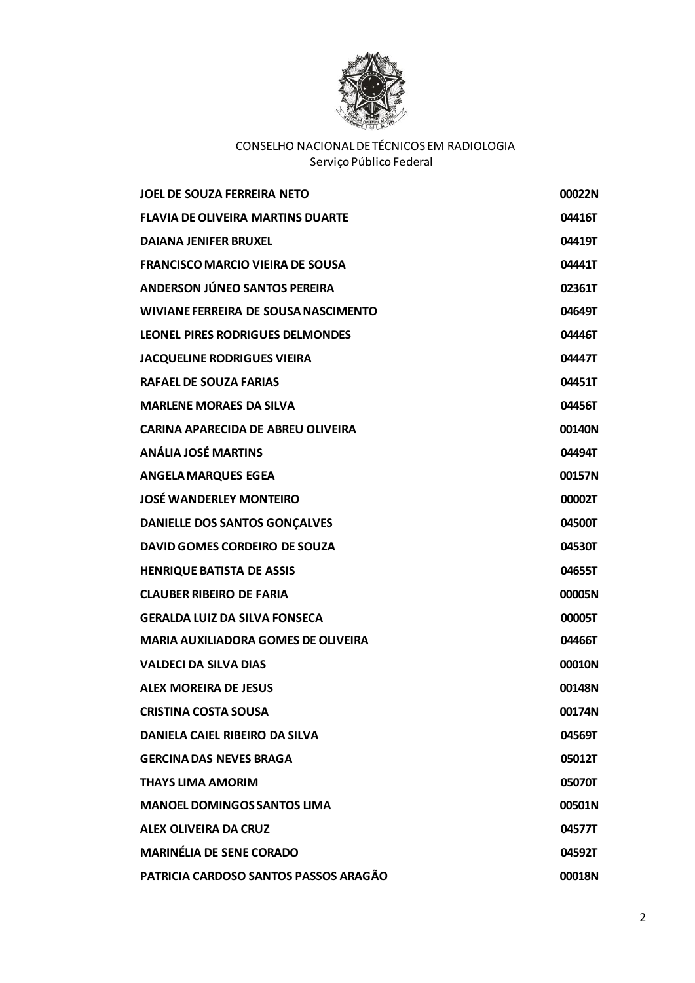

| <b>JOEL DE SOUZA FERREIRA NETO</b>         | 00022N |
|--------------------------------------------|--------|
| <b>FLAVIA DE OLIVEIRA MARTINS DUARTE</b>   | 04416T |
| <b>DAIANA JENIFER BRUXEL</b>               | 04419T |
| <b>FRANCISCO MARCIO VIEIRA DE SOUSA</b>    | 04441T |
| ANDERSON JÚNEO SANTOS PEREIRA              | 02361T |
| WIVIANE FERREIRA DE SOUSA NASCIMENTO       | 04649T |
| LEONEL PIRES RODRIGUES DELMONDES           | 04446T |
| <b>JACQUELINE RODRIGUES VIEIRA</b>         | 04447T |
| <b>RAFAEL DE SOUZA FARIAS</b>              | 04451T |
| <b>MARLENE MORAES DA SILVA</b>             | 04456T |
| CARINA APARECIDA DE ABREU OLIVEIRA         | 00140N |
| <b>ANÁLIA JOSÉ MARTINS</b>                 | 04494T |
| <b>ANGELA MARQUES EGEA</b>                 | 00157N |
| <b>JOSÉ WANDERLEY MONTEIRO</b>             | 00002T |
| <b>DANIELLE DOS SANTOS GONÇALVES</b>       | 04500T |
| DAVID GOMES CORDEIRO DE SOUZA              | 04530T |
| <b>HENRIQUE BATISTA DE ASSIS</b>           | 04655T |
| <b>CLAUBER RIBEIRO DE FARIA</b>            | 00005N |
| <b>GERALDA LUIZ DA SILVA FONSECA</b>       | 00005T |
| <b>MARIA AUXILIADORA GOMES DE OLIVEIRA</b> | 04466T |
| <b>VALDECI DA SILVA DIAS</b>               | 00010N |
| <b>ALEX MOREIRA DE JESUS</b>               | 00148N |
| <b>CRISTINA COSTA SOUSA</b>                | 00174N |
| DANIELA CAIEL RIBEIRO DA SILVA             | 04569T |
| <b>GERCINA DAS NEVES BRAGA</b>             | 05012T |
| <b>THAYS LIMA AMORIM</b>                   | 05070T |
| <b>MANOEL DOMINGOS SANTOS LIMA</b>         | 00501N |
| <b>ALEX OLIVEIRA DA CRUZ</b>               | 04577T |
| <b>MARINÉLIA DE SENE CORADO</b>            | 04592T |
| PATRICIA CARDOSO SANTOS PASSOS ARAGÃO      | 00018N |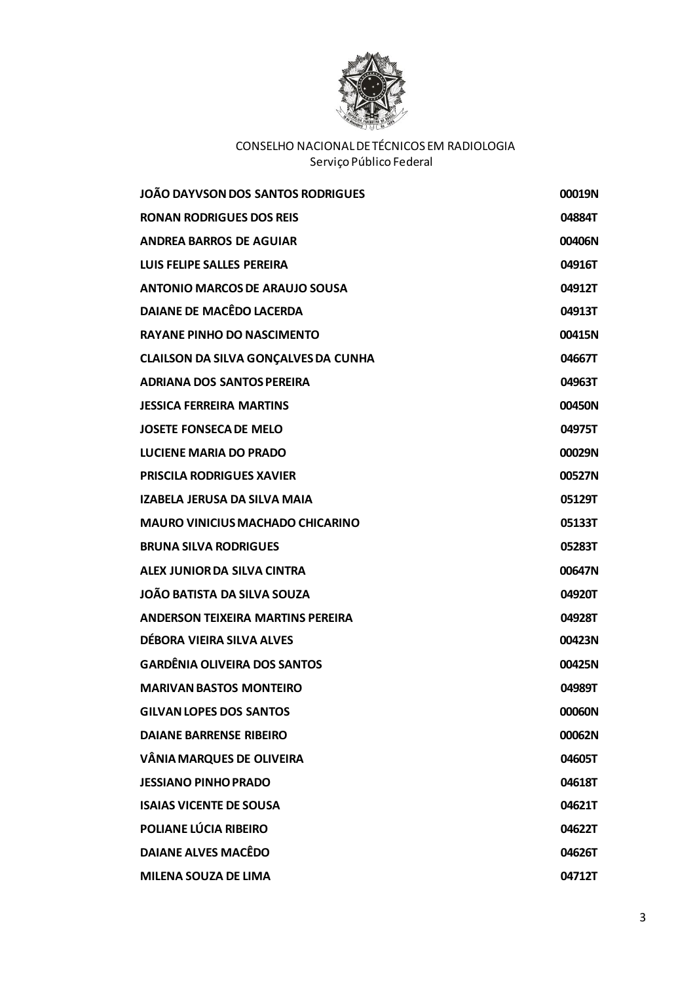

| JOÃO DAYVSON DOS SANTOS RODRIGUES           | 00019N |
|---------------------------------------------|--------|
| <b>RONAN RODRIGUES DOS REIS</b>             | 04884T |
| <b>ANDREA BARROS DE AGUIAR</b>              | 00406N |
| LUIS FELIPE SALLES PEREIRA                  | 04916T |
| <b>ANTONIO MARCOS DE ARAUJO SOUSA</b>       | 04912T |
| <b>DAIANE DE MACÊDO LACERDA</b>             | 04913T |
| <b>RAYANE PINHO DO NASCIMENTO</b>           | 00415N |
| <b>CLAILSON DA SILVA GONÇALVES DA CUNHA</b> | 04667T |
| <b>ADRIANA DOS SANTOS PEREIRA</b>           | 04963T |
| <b>JESSICA FERREIRA MARTINS</b>             | 00450N |
| <b>JOSETE FONSECA DE MELO</b>               | 04975T |
| <b>LUCIENE MARIA DO PRADO</b>               | 00029N |
| <b>PRISCILA RODRIGUES XAVIER</b>            | 00527N |
| <b>IZABELA JERUSA DA SILVA MAIA</b>         | 05129T |
| <b>MAURO VINICIUS MACHADO CHICARINO</b>     | 05133T |
| <b>BRUNA SILVA RODRIGUES</b>                | 05283T |
| ALEX JUNIOR DA SILVA CINTRA                 | 00647N |
| <b>JOÃO BATISTA DA SILVA SOUZA</b>          | 04920T |
| <b>ANDERSON TEIXEIRA MARTINS PEREIRA</b>    | 04928T |
| DÉBORA VIEIRA SILVA ALVES                   | 00423N |
| <b>GARDÊNIA OLIVEIRA DOS SANTOS</b>         | 00425N |
| <b>MARIVAN BASTOS MONTEIRO</b>              | 04989T |
| <b>GILVAN LOPES DOS SANTOS</b>              | 00060N |
| <b>DAIANE BARRENSE RIBEIRO</b>              | 00062N |
| <b>VÂNIA MARQUES DE OLIVEIRA</b>            | 04605T |
| <b>JESSIANO PINHO PRADO</b>                 | 04618T |
| <b>ISAIAS VICENTE DE SOUSA</b>              | 04621T |
| POLIANE LÚCIA RIBEIRO                       | 04622T |
| <b>DAIANE ALVES MACÊDO</b>                  | 04626T |
| <b>MILENA SOUZA DE LIMA</b>                 | 04712T |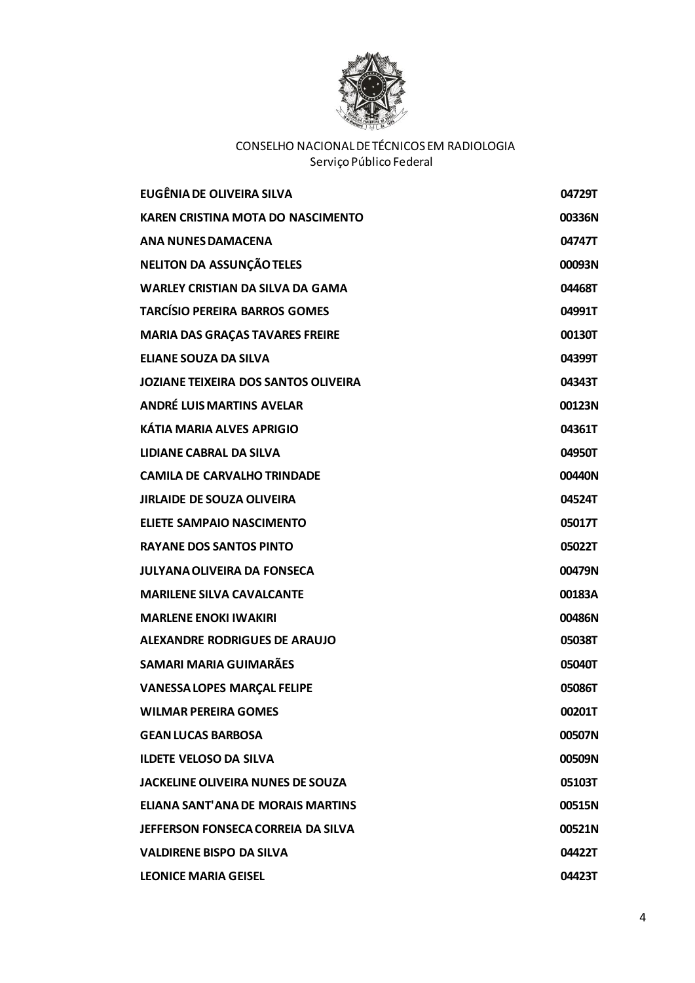

| <b>EUGÊNIA DE OLIVEIRA SILVA</b>         | 04729T        |
|------------------------------------------|---------------|
| <b>KAREN CRISTINA MOTA DO NASCIMENTO</b> | 00336N        |
| <b>ANA NUNES DAMACENA</b>                | 04747T        |
| <b>NELITON DA ASSUNÇÃO TELES</b>         | 00093N        |
| <b>WARLEY CRISTIAN DA SILVA DA GAMA</b>  | 04468T        |
| <b>TARCÍSIO PEREIRA BARROS GOMES</b>     | 04991T        |
| <b>MARIA DAS GRAÇAS TAVARES FREIRE</b>   | 00130T        |
| <b>ELIANE SOUZA DA SILVA</b>             | 04399T        |
| JOZIANE TEIXEIRA DOS SANTOS OLIVEIRA     | 04343T        |
| <b>ANDRÉ LUIS MARTINS AVELAR</b>         | 00123N        |
| <b>KÁTIA MARIA ALVES APRIGIO</b>         | 04361T        |
| <b>LIDIANE CABRAL DA SILVA</b>           | 04950T        |
| <b>CAMILA DE CARVALHO TRINDADE</b>       | 00440N        |
| <b>JIRLAIDE DE SOUZA OLIVEIRA</b>        | 04524T        |
| <b>ELIETE SAMPAIO NASCIMENTO</b>         | 05017T        |
| <b>RAYANE DOS SANTOS PINTO</b>           | 05022T        |
| <b>JULYANA OLIVEIRA DA FONSECA</b>       | 00479N        |
| <b>MARILENE SILVA CAVALCANTE</b>         | 00183A        |
| <b>MARLENE ENOKI IWAKIRI</b>             | 00486N        |
| <b>ALEXANDRE RODRIGUES DE ARAUJO</b>     | 05038T        |
| <b>SAMARI MARIA GUIMARÃES</b>            | 05040T        |
| <b>VANESSA LOPES MARÇAL FELIPE</b>       | 05086T        |
| <b>WILMAR PEREIRA GOMES</b>              | 00201T        |
| <b>GEAN LUCAS BARBOSA</b>                | 00507N        |
| <b>ILDETE VELOSO DA SILVA</b>            | 00509N        |
| <b>JACKELINE OLIVEIRA NUNES DE SOUZA</b> | 05103T        |
| ELIANA SANT'ANA DE MORAIS MARTINS        | <b>00515N</b> |
| JEFFERSON FONSECA CORREIA DA SILVA       | 00521N        |
| <b>VALDIRENE BISPO DA SILVA</b>          | 04422T        |
| <b>LEONICE MARIA GEISEL</b>              | 04423T        |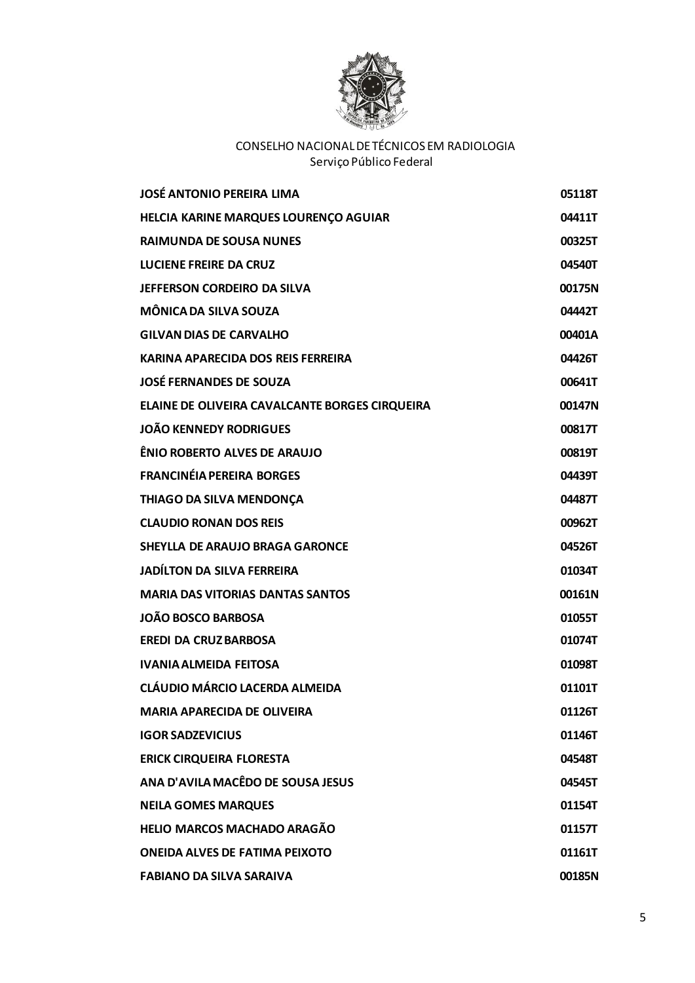

| <b>JOSÉ ANTONIO PEREIRA LIMA</b>               | 05118T |
|------------------------------------------------|--------|
| HELCIA KARINE MARQUES LOURENÇO AGUIAR          | 04411T |
| <b>RAIMUNDA DE SOUSA NUNES</b>                 | 00325T |
| <b>LUCIENE FREIRE DA CRUZ</b>                  | 04540T |
| JEFFERSON CORDEIRO DA SILVA                    | 00175N |
| MÔNICA DA SILVA SOUZA                          | 04442T |
| <b>GILVAN DIAS DE CARVALHO</b>                 | 00401A |
| KARINA APARECIDA DOS REIS FERREIRA             | 04426T |
| <b>JOSÉ FERNANDES DE SOUZA</b>                 | 00641T |
| ELAINE DE OLIVEIRA CAVALCANTE BORGES CIRQUEIRA | 00147N |
| <b>JOÃO KENNEDY RODRIGUES</b>                  | 00817T |
| ÊNIO ROBERTO ALVES DE ARAUJO                   | 00819T |
| <b>FRANCINÉIA PEREIRA BORGES</b>               | 04439T |
| THIAGO DA SILVA MENDONÇA                       | 04487T |
| <b>CLAUDIO RONAN DOS REIS</b>                  | 00962T |
| <b>SHEYLLA DE ARAUJO BRAGA GARONCE</b>         | 04526T |
| <b>JADÍLTON DA SILVA FERREIRA</b>              | 01034T |
| <b>MARIA DAS VITORIAS DANTAS SANTOS</b>        | 00161N |
| <b>JOÃO BOSCO BARBOSA</b>                      | 01055T |
| <b>EREDI DA CRUZ BARBOSA</b>                   | 01074T |
| <b>IVANIA ALMEIDA FEITOSA</b>                  | 01098T |
| <b>CLÁUDIO MÁRCIO LACERDA ALMEIDA</b>          | 01101T |
| <b>MARIA APARECIDA DE OLIVEIRA</b>             | 01126T |
| <b>IGOR SADZEVICIUS</b>                        | 01146T |
| <b>ERICK CIRQUEIRA FLORESTA</b>                | 04548T |
| ANA D'AVILA MACÊDO DE SOUSA JESUS              | 04545T |
| <b>NEILA GOMES MARQUES</b>                     | 01154T |
| HELIO MARCOS MACHADO ARAGÃO                    | 01157T |
| <b>ONEIDA ALVES DE FATIMA PEIXOTO</b>          | 01161T |
| <b>FABIANO DA SILVA SARAIVA</b>                | 00185N |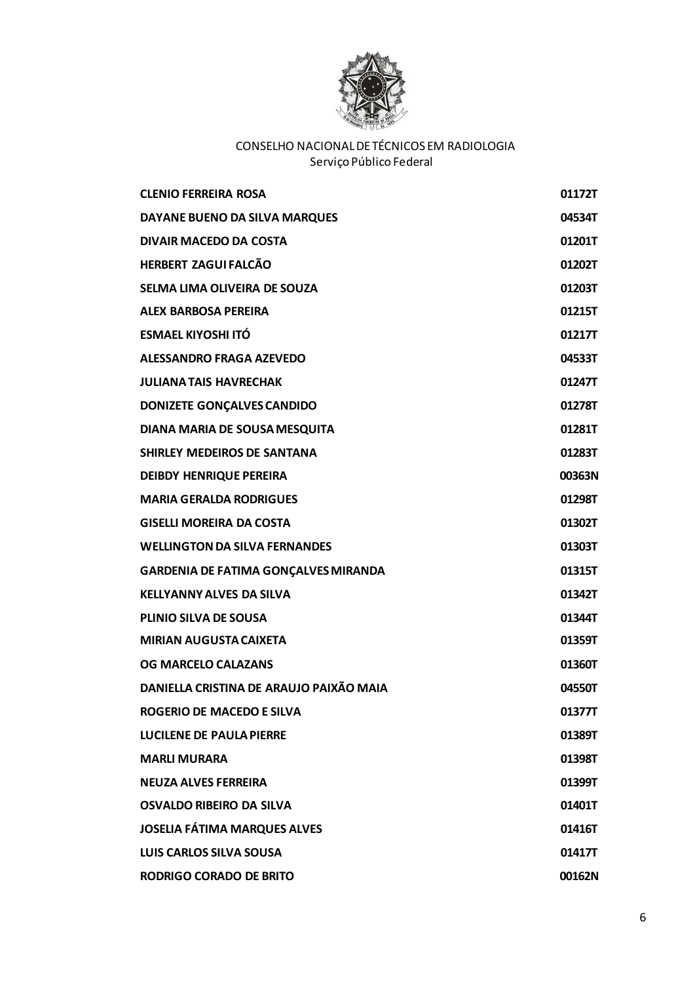

| <b>CLENIO FERREIRA ROSA</b>                 | 01172T |
|---------------------------------------------|--------|
| DAYANE BUENO DA SILVA MARQUES               | 04534T |
| <b>DIVAIR MACEDO DA COSTA</b>               | 01201T |
| <b>HERBERT ZAGUI FALCÃO</b>                 | 01202T |
| SELMA LIMA OLIVEIRA DE SOUZA                | 01203T |
| <b>ALEX BARBOSA PEREIRA</b>                 | 01215T |
| <b>ESMAEL KIYOSHI ITÓ</b>                   | 01217T |
| ALESSANDRO FRAGA AZEVEDO                    | 04533T |
| <b>JULIANA TAIS HAVRECHAK</b>               | 01247T |
| <b>DONIZETE GONÇALVES CANDIDO</b>           | 01278T |
| DIANA MARIA DE SOUSA MESQUITA               | 01281T |
| SHIRLEY MEDEIROS DE SANTANA                 | 01283T |
| <b>DEIBDY HENRIQUE PEREIRA</b>              | 00363N |
| <b>MARIA GERALDA RODRIGUES</b>              | 01298T |
| <b>GISELLI MOREIRA DA COSTA</b>             | 01302T |
| <b>WELLINGTON DA SILVA FERNANDES</b>        | 01303T |
| <b>GARDENIA DE FATIMA GONÇALVES MIRANDA</b> | 01315T |
| <b>KELLYANNY ALVES DA SILVA</b>             | 01342T |
| <b>PLINIO SILVA DE SOUSA</b>                | 01344T |
| <b>MIRIAN AUGUSTA CAIXETA</b>               | 01359T |
| <b>OG MARCELO CALAZANS</b>                  | 01360T |
| DANIELLA CRISTINA DE ARAUJO PAIXÃO MAIA     | 04550T |
| <b>ROGERIO DE MACEDO E SILVA</b>            | 01377T |
| <b>LUCILENE DE PAULA PIERRE</b>             | 01389T |
| <b>MARLI MURARA</b>                         | 01398T |
| <b>NEUZA ALVES FERREIRA</b>                 | 01399T |
| <b>OSVALDO RIBEIRO DA SILVA</b>             | 01401T |
| <b>JOSELIA FÁTIMA MARQUES ALVES</b>         | 01416T |
| <b>LUIS CARLOS SILVA SOUSA</b>              | 01417T |
| <b>RODRIGO CORADO DE BRITO</b>              | 00162N |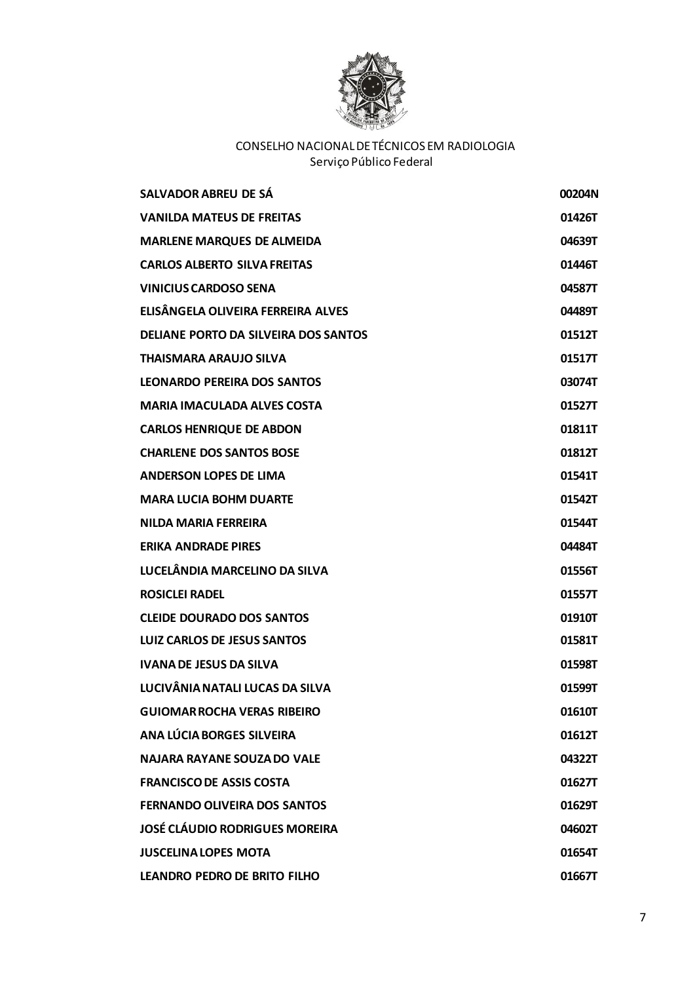

| SALVADOR ABREU DE SÁ                  | 00204N |
|---------------------------------------|--------|
| <b>VANILDA MATEUS DE FREITAS</b>      | 01426T |
| <b>MARLENE MARQUES DE ALMEIDA</b>     | 04639T |
| <b>CARLOS ALBERTO SILVA FREITAS</b>   | 01446T |
| <b>VINICIUS CARDOSO SENA</b>          | 04587T |
| ELISÂNGELA OLIVEIRA FERREIRA ALVES    | 04489T |
| DELIANE PORTO DA SILVEIRA DOS SANTOS  | 01512T |
| <b>THAISMARA ARAUJO SILVA</b>         | 01517T |
| <b>LEONARDO PEREIRA DOS SANTOS</b>    | 03074T |
| <b>MARIA IMACULADA ALVES COSTA</b>    | 01527T |
| <b>CARLOS HENRIQUE DE ABDON</b>       | 01811T |
| <b>CHARLENE DOS SANTOS BOSE</b>       | 01812T |
| <b>ANDERSON LOPES DE LIMA</b>         | 01541T |
| <b>MARA LUCIA BOHM DUARTE</b>         | 01542T |
| <b>NILDA MARIA FERREIRA</b>           | 01544T |
| <b>ERIKA ANDRADE PIRES</b>            | 04484T |
| LUCELÂNDIA MARCELINO DA SILVA         | 01556T |
| <b>ROSICLEI RADEL</b>                 | 01557T |
| <b>CLEIDE DOURADO DOS SANTOS</b>      | 01910T |
| LUIZ CARLOS DE JESUS SANTOS           | 01581T |
| <b>IVANA DE JESUS DA SILVA</b>        | 01598T |
| LUCIVÂNIA NATALI LUCAS DA SILVA       | 01599T |
| <b>GUIOMAR ROCHA VERAS RIBEIRO</b>    | 01610T |
| ANA LÚCIA BORGES SILVEIRA             | 01612T |
| <b>NAJARA RAYANE SOUZA DO VALE</b>    | 04322T |
| <b>FRANCISCO DE ASSIS COSTA</b>       | 01627T |
| <b>FERNANDO OLIVEIRA DOS SANTOS</b>   | 01629T |
| <b>JOSÉ CLÁUDIO RODRIGUES MOREIRA</b> | 04602T |
| <b>JUSCELINA LOPES MOTA</b>           | 01654T |
| LEANDRO PEDRO DE BRITO FILHO          | 01667T |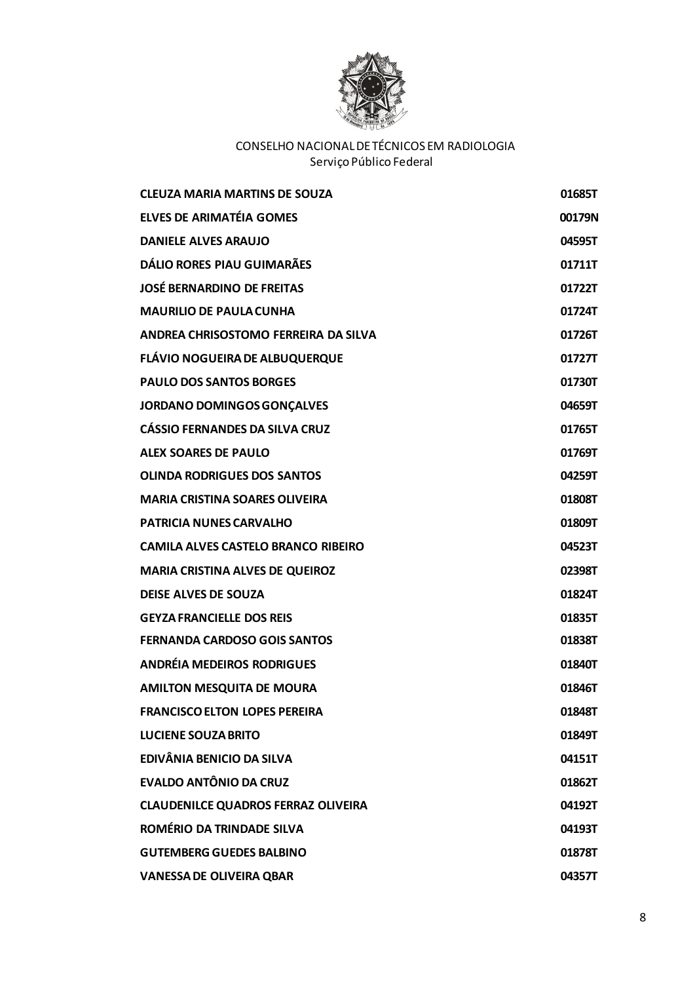

| <b>CLEUZA MARIA MARTINS DE SOUZA</b>       | 01685T |
|--------------------------------------------|--------|
| <b>ELVES DE ARIMATÉIA GOMES</b>            | 00179N |
| <b>DANIELE ALVES ARAUJO</b>                | 04595T |
| <b>DÁLIO RORES PIAU GUIMARÃES</b>          | 01711T |
| <b>JOSÉ BERNARDINO DE FREITAS</b>          | 01722T |
| <b>MAURILIO DE PAULA CUNHA</b>             | 01724T |
| ANDREA CHRISOSTOMO FERREIRA DA SILVA       | 01726T |
| <b>FLÁVIO NOGUEIRA DE ALBUQUERQUE</b>      | 01727T |
| <b>PAULO DOS SANTOS BORGES</b>             | 01730T |
| <b>JORDANO DOMINGOS GONÇALVES</b>          | 04659T |
| <b>CÁSSIO FERNANDES DA SILVA CRUZ</b>      | 01765T |
| <b>ALEX SOARES DE PAULO</b>                | 01769T |
| <b>OLINDA RODRIGUES DOS SANTOS</b>         | 04259T |
| <b>MARIA CRISTINA SOARES OLIVEIRA</b>      | 01808T |
| <b>PATRICIA NUNES CARVALHO</b>             | 01809T |
| <b>CAMILA ALVES CASTELO BRANCO RIBEIRO</b> | 04523T |
| <b>MARIA CRISTINA ALVES DE QUEIROZ</b>     | 02398T |
| <b>DEISE ALVES DE SOUZA</b>                | 01824T |
| <b>GEYZA FRANCIELLE DOS REIS</b>           | 01835T |
| <b>FERNANDA CARDOSO GOIS SANTOS</b>        | 01838T |
| <b>ANDRÉIA MEDEIROS RODRIGUES</b>          | 01840T |
| <b>AMILTON MESQUITA DE MOURA</b>           | 01846T |
| <b>FRANCISCO ELTON LOPES PEREIRA</b>       | 01848T |
| <b>LUCIENE SOUZA BRITO</b>                 | 01849T |
| EDIVÂNIA BENICIO DA SILVA                  | 04151T |
| <b>EVALDO ANTÔNIO DA CRUZ</b>              | 01862T |
| <b>CLAUDENILCE QUADROS FERRAZ OLIVEIRA</b> | 04192T |
| ROMÉRIO DA TRINDADE SILVA                  | 04193T |
| <b>GUTEMBERG GUEDES BALBINO</b>            | 01878T |
| <b>VANESSA DE OLIVEIRA QBAR</b>            | 04357T |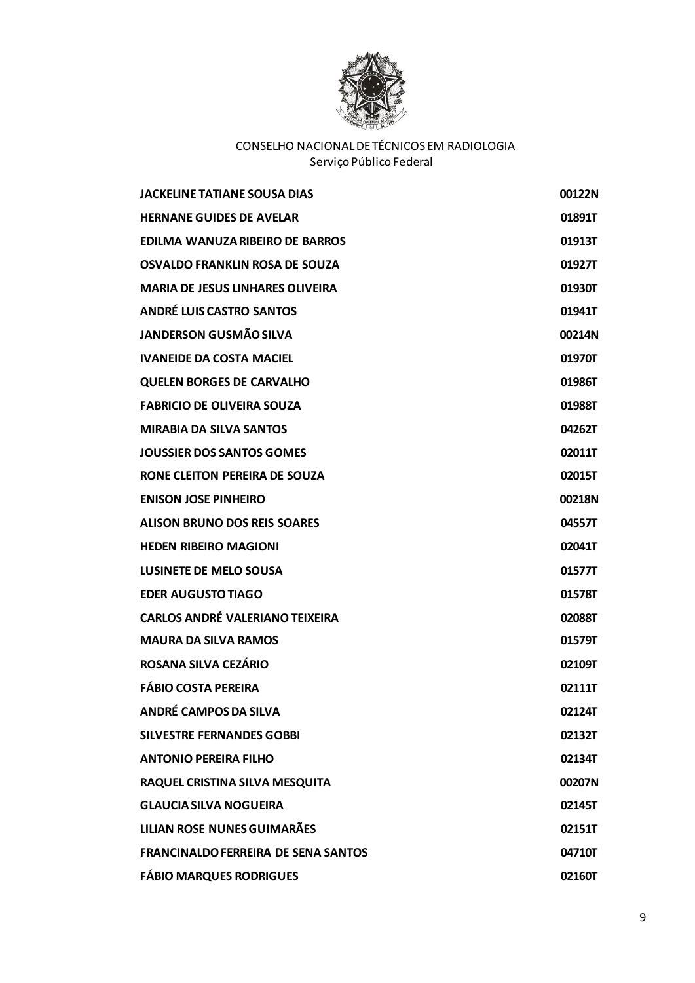

| <b>JACKELINE TATIANE SOUSA DIAS</b>        | 00122N |
|--------------------------------------------|--------|
| <b>HERNANE GUIDES DE AVELAR</b>            | 01891T |
| EDILMA WANUZA RIBEIRO DE BARROS            | 01913T |
| OSVALDO FRANKLIN ROSA DE SOUZA             | 01927T |
| <b>MARIA DE JESUS LINHARES OLIVEIRA</b>    | 01930T |
| <b>ANDRÉ LUIS CASTRO SANTOS</b>            | 01941T |
| <b>JANDERSON GUSMÃO SILVA</b>              | 00214N |
| <b>IVANEIDE DA COSTA MACIEL</b>            | 01970T |
| <b>QUELEN BORGES DE CARVALHO</b>           | 01986T |
| <b>FABRICIO DE OLIVEIRA SOUZA</b>          | 01988T |
| <b>MIRABIA DA SILVA SANTOS</b>             | 04262T |
| <b>JOUSSIER DOS SANTOS GOMES</b>           | 02011T |
| RONE CLEITON PEREIRA DE SOUZA              | 02015T |
| <b>ENISON JOSE PINHEIRO</b>                | 00218N |
| <b>ALISON BRUNO DOS REIS SOARES</b>        | 04557T |
| <b>HEDEN RIBEIRO MAGIONI</b>               | 02041T |
| <b>LUSINETE DE MELO SOUSA</b>              | 01577T |
| <b>EDER AUGUSTO TIAGO</b>                  | 01578T |
| <b>CARLOS ANDRÉ VALERIANO TEIXEIRA</b>     | 02088T |
| <b>MAURA DA SILVA RAMOS</b>                | 01579T |
| ROSANA SILVA CEZÁRIO                       | 02109T |
| <b>FÁBIO COSTA PEREIRA</b>                 | 02111T |
| <b>ANDRÉ CAMPOS DA SILVA</b>               | 02124T |
| <b>SILVESTRE FERNANDES GOBBI</b>           | 02132T |
| <b>ANTONIO PEREIRA FILHO</b>               | 02134T |
| RAQUEL CRISTINA SILVA MESQUITA             | 00207N |
| <b>GLAUCIA SILVA NOGUEIRA</b>              | 02145T |
| <b>LILIAN ROSE NUNES GUIMARÃES</b>         | 02151T |
| <b>FRANCINALDO FERREIRA DE SENA SANTOS</b> | 04710T |
| <b>FÁBIO MARQUES RODRIGUES</b>             | 02160T |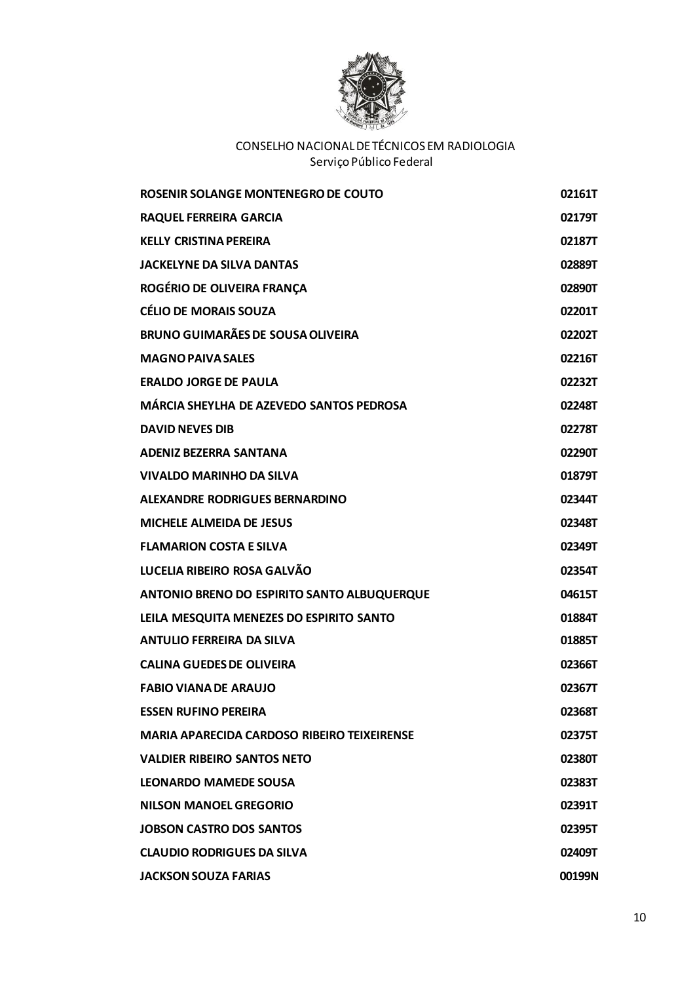

| ROSENIR SOLANGE MONTENEGRO DE COUTO                | 02161T |
|----------------------------------------------------|--------|
| <b>RAQUEL FERREIRA GARCIA</b>                      | 02179T |
| <b>KELLY CRISTINA PEREIRA</b>                      | 02187T |
| <b>JACKELYNE DA SILVA DANTAS</b>                   | 02889T |
| ROGÉRIO DE OLIVEIRA FRANÇA                         | 02890T |
| <b>CÉLIO DE MORAIS SOUZA</b>                       | 02201T |
| <b>BRUNO GUIMARÃES DE SOUSA OLIVEIRA</b>           | 02202T |
| <b>MAGNO PAIVA SALES</b>                           | 02216T |
| <b>ERALDO JORGE DE PAULA</b>                       | 02232T |
| MÁRCIA SHEYLHA DE AZEVEDO SANTOS PEDROSA           | 02248T |
| <b>DAVID NEVES DIB</b>                             | 02278T |
| <b>ADENIZ BEZERRA SANTANA</b>                      | 02290T |
| <b>VIVALDO MARINHO DA SILVA</b>                    | 01879T |
| ALEXANDRE RODRIGUES BERNARDINO                     | 02344T |
| <b>MICHELE ALMEIDA DE JESUS</b>                    | 02348T |
| <b>FLAMARION COSTA E SILVA</b>                     | 02349T |
| LUCELIA RIBEIRO ROSA GALVÃO                        | 02354T |
| ANTONIO BRENO DO ESPIRITO SANTO ALBUQUERQUE        | 04615T |
| LEILA MESQUITA MENEZES DO ESPIRITO SANTO           | 01884T |
| <b>ANTULIO FERREIRA DA SILVA</b>                   | 01885T |
| <b>CALINA GUEDES DE OLIVEIRA</b>                   | 02366T |
| <b>FABIO VIANA DE ARAUJO</b>                       | 02367T |
| <b>ESSEN RUFINO PEREIRA</b>                        | 02368T |
| <b>MARIA APARECIDA CARDOSO RIBEIRO TEIXEIRENSE</b> | 02375T |
| <b>VALDIER RIBEIRO SANTOS NETO</b>                 | 02380T |
| <b>LEONARDO MAMEDE SOUSA</b>                       | 02383T |
| NILSON MANOEL GREGORIO                             | 02391T |
| <b>JOBSON CASTRO DOS SANTOS</b>                    | 02395T |
| <b>CLAUDIO RODRIGUES DA SILVA</b>                  | 02409T |
| <b>JACKSON SOUZA FARIAS</b>                        | 00199N |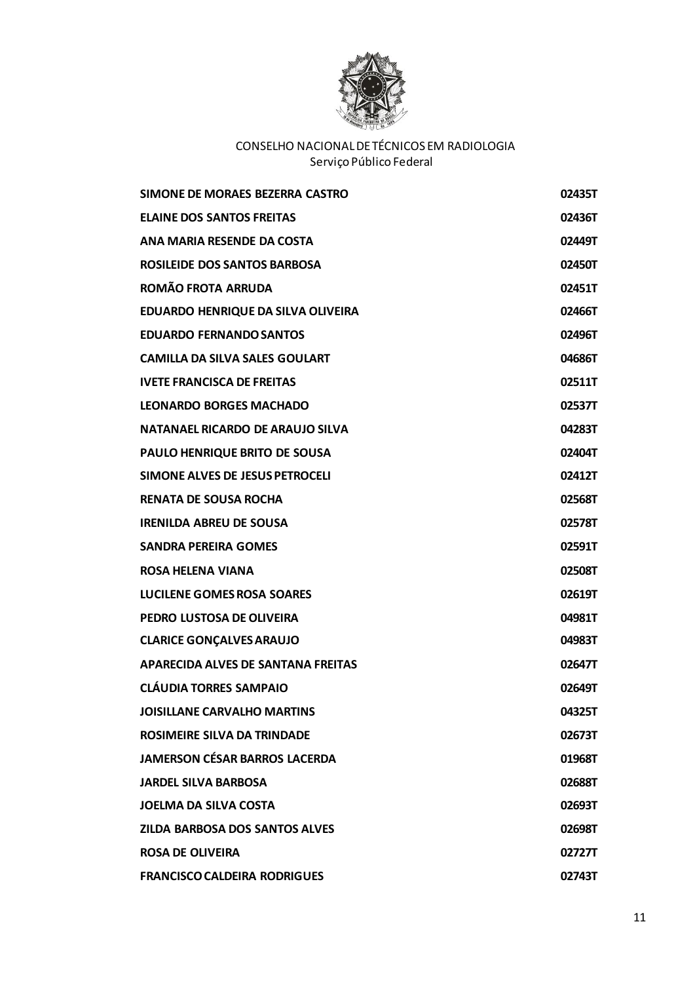

| SIMONE DE MORAES BEZERRA CASTRO       | 02435T |
|---------------------------------------|--------|
| <b>ELAINE DOS SANTOS FREITAS</b>      | 02436T |
| ANA MARIA RESENDE DA COSTA            | 02449T |
| <b>ROSILEIDE DOS SANTOS BARBOSA</b>   | 02450T |
| <b>ROMÃO FROTA ARRUDA</b>             | 02451T |
| EDUARDO HENRIQUE DA SILVA OLIVEIRA    | 02466T |
| <b>EDUARDO FERNANDO SANTOS</b>        | 02496T |
| <b>CAMILLA DA SILVA SALES GOULART</b> | 04686T |
| <b>IVETE FRANCISCA DE FREITAS</b>     | 02511T |
| <b>LEONARDO BORGES MACHADO</b>        | 02537T |
| NATANAEL RICARDO DE ARAUJO SILVA      | 04283T |
| PAULO HENRIQUE BRITO DE SOUSA         | 02404T |
| SIMONE ALVES DE JESUS PETROCELI       | 02412T |
| <b>RENATA DE SOUSA ROCHA</b>          | 02568T |
| <b>IRENILDA ABREU DE SOUSA</b>        | 02578T |
| <b>SANDRA PEREIRA GOMES</b>           | 02591T |
| <b>ROSA HELENA VIANA</b>              | 02508T |
| <b>LUCILENE GOMES ROSA SOARES</b>     | 02619T |
| PEDRO LUSTOSA DE OLIVEIRA             | 04981T |
| <b>CLARICE GONÇALVES ARAUJO</b>       | 04983T |
| APARECIDA ALVES DE SANTANA FREITAS    | 02647T |
| <b>CLÁUDIA TORRES SAMPAIO</b>         | 02649T |
| <b>JOISILLANE CARVALHO MARTINS</b>    | 04325T |
| <b>ROSIMEIRE SILVA DA TRINDADE</b>    | 02673T |
| <b>JAMERSON CÉSAR BARROS LACERDA</b>  | 01968T |
| <b>JARDEL SILVA BARBOSA</b>           | 02688T |
| <b>JOELMA DA SILVA COSTA</b>          | 02693T |
| <b>ZILDA BARBOSA DOS SANTOS ALVES</b> | 02698T |
| <b>ROSA DE OLIVEIRA</b>               | 02727T |
| <b>FRANCISCO CALDEIRA RODRIGUES</b>   | 02743T |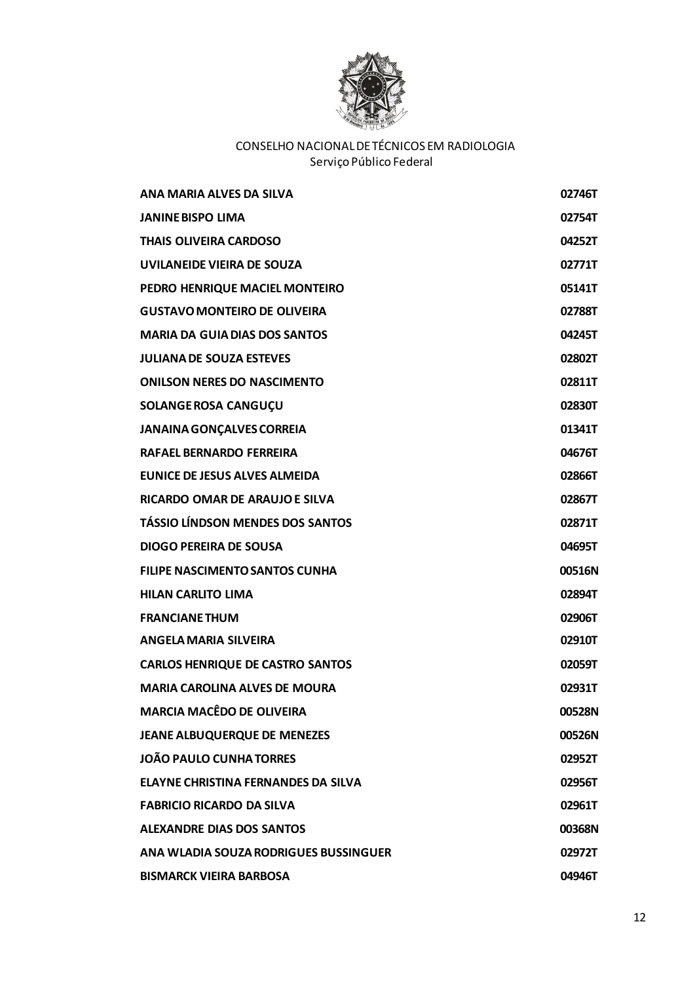

| ANA MARIA ALVES DA SILVA                | 02746T |
|-----------------------------------------|--------|
| <b>JANINE BISPO LIMA</b>                | 02754T |
| <b>THAIS OLIVEIRA CARDOSO</b>           | 04252T |
| UVILANEIDE VIEIRA DE SOUZA              | 02771T |
| PEDRO HENRIQUE MACIEL MONTEIRO          | 05141T |
| <b>GUSTAVO MONTEIRO DE OLIVEIRA</b>     | 02788T |
| <b>MARIA DA GUIA DIAS DOS SANTOS</b>    | 04245T |
| <b>JULIANA DE SOUZA ESTEVES</b>         | 02802T |
| <b>ONILSON NERES DO NASCIMENTO</b>      | 02811T |
| SOLANGE ROSA CANGUÇU                    | 02830T |
| <b>JANAINA GONÇALVES CORREIA</b>        | 01341T |
| <b>RAFAEL BERNARDO FERREIRA</b>         | 04676T |
| <b>EUNICE DE JESUS ALVES ALMEIDA</b>    | 02866T |
| <b>RICARDO OMAR DE ARAUJO E SILVA</b>   | 02867T |
| <b>TÁSSIO LÍNDSON MENDES DOS SANTOS</b> | 02871T |
| <b>DIOGO PEREIRA DE SOUSA</b>           | 04695T |
| <b>FILIPE NASCIMENTO SANTOS CUNHA</b>   | 00516N |
| <b>HILAN CARLITO LIMA</b>               | 02894T |
| <b>FRANCIANE THUM</b>                   | 02906T |
| <b>ANGELA MARIA SILVEIRA</b>            | 02910T |
| <b>CARLOS HENRIQUE DE CASTRO SANTOS</b> | 02059T |
| <b>MARIA CAROLINA ALVES DE MOURA</b>    | 02931T |
| <b>MARCIA MACÊDO DE OLIVEIRA</b>        | 00528N |
| <b>JEANE ALBUQUERQUE DE MENEZES</b>     | 00526N |
| <b>JOÃO PAULO CUNHA TORRES</b>          | 02952T |
| ELAYNE CHRISTINA FERNANDES DA SILVA     | 02956T |
| <b>FABRICIO RICARDO DA SILVA</b>        | 02961T |
| <b>ALEXANDRE DIAS DOS SANTOS</b>        | 00368N |
| ANA WLADIA SOUZA RODRIGUES BUSSINGUER   | 02972T |
| <b>BISMARCK VIEIRA BARBOSA</b>          | 04946T |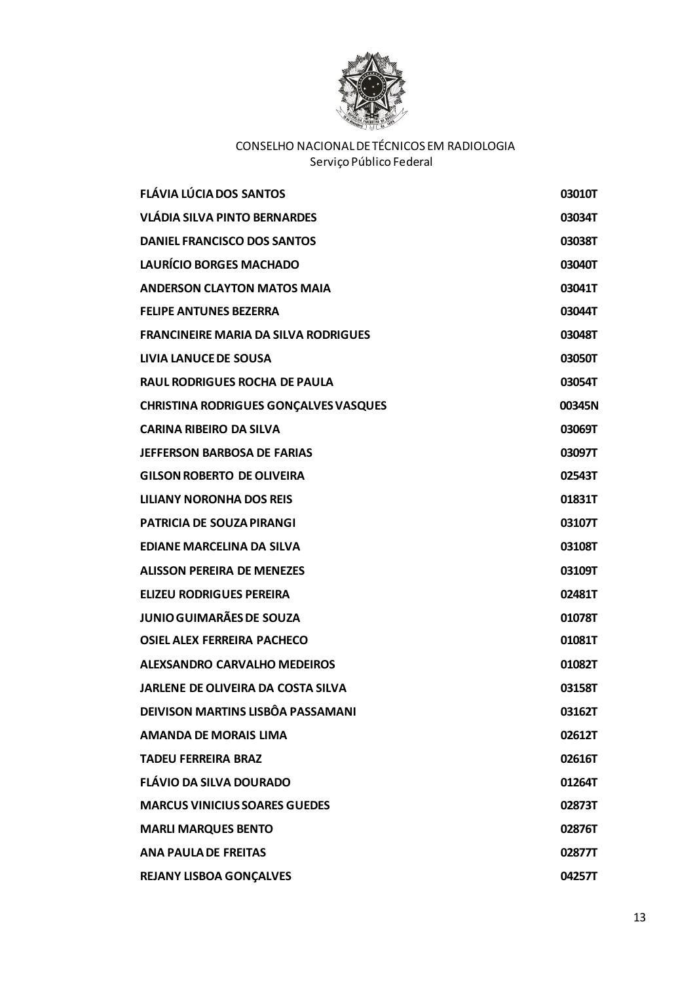

| <b>FLÁVIA LÚCIA DOS SANTOS</b>               | 03010T |
|----------------------------------------------|--------|
| <b>VLÁDIA SILVA PINTO BERNARDES</b>          | 03034T |
| DANIEL FRANCISCO DOS SANTOS                  | 03038T |
| <b>LAURÍCIO BORGES MACHADO</b>               | 03040T |
| <b>ANDERSON CLAYTON MATOS MAIA</b>           | 03041T |
| <b>FELIPE ANTUNES BEZERRA</b>                | 03044T |
| <b>FRANCINEIRE MARIA DA SILVA RODRIGUES</b>  | 03048T |
| <b>LIVIA LANUCE DE SOUSA</b>                 | 03050T |
| <b>RAUL RODRIGUES ROCHA DE PAULA</b>         | 03054T |
| <b>CHRISTINA RODRIGUES GONÇALVES VASQUES</b> | 00345N |
| <b>CARINA RIBEIRO DA SILVA</b>               | 03069T |
| <b>JEFFERSON BARBOSA DE FARIAS</b>           | 03097T |
| <b>GILSON ROBERTO DE OLIVEIRA</b>            | 02543T |
| LILIANY NORONHA DOS REIS                     | 01831T |
| <b>PATRICIA DE SOUZA PIRANGI</b>             | 03107T |
| EDIANE MARCELINA DA SILVA                    | 03108T |
| <b>ALISSON PEREIRA DE MENEZES</b>            | 03109T |
| <b>ELIZEU RODRIGUES PEREIRA</b>              | 02481T |
| <b>JUNIO GUIMARÃES DE SOUZA</b>              | 01078T |
| <b>OSIEL ALEX FERREIRA PACHECO</b>           | 01081T |
| <b>ALEXSANDRO CARVALHO MEDEIROS</b>          | 01082T |
| <b>JARLENE DE OLIVEIRA DA COSTA SILVA</b>    | 03158T |
| DEIVISON MARTINS LISBÔA PASSAMANI            | 03162T |
| <b>AMANDA DE MORAIS LIMA</b>                 | 02612T |
| <b>TADEU FERREIRA BRAZ</b>                   | 02616T |
| <b>FLÁVIO DA SILVA DOURADO</b>               | 01264T |
| <b>MARCUS VINICIUS SOARES GUEDES</b>         | 02873T |
| <b>MARLI MARQUES BENTO</b>                   | 02876T |
| <b>ANA PAULA DE FREITAS</b>                  | 02877T |
| <b>REJANY LISBOA GONÇALVES</b>               | 04257T |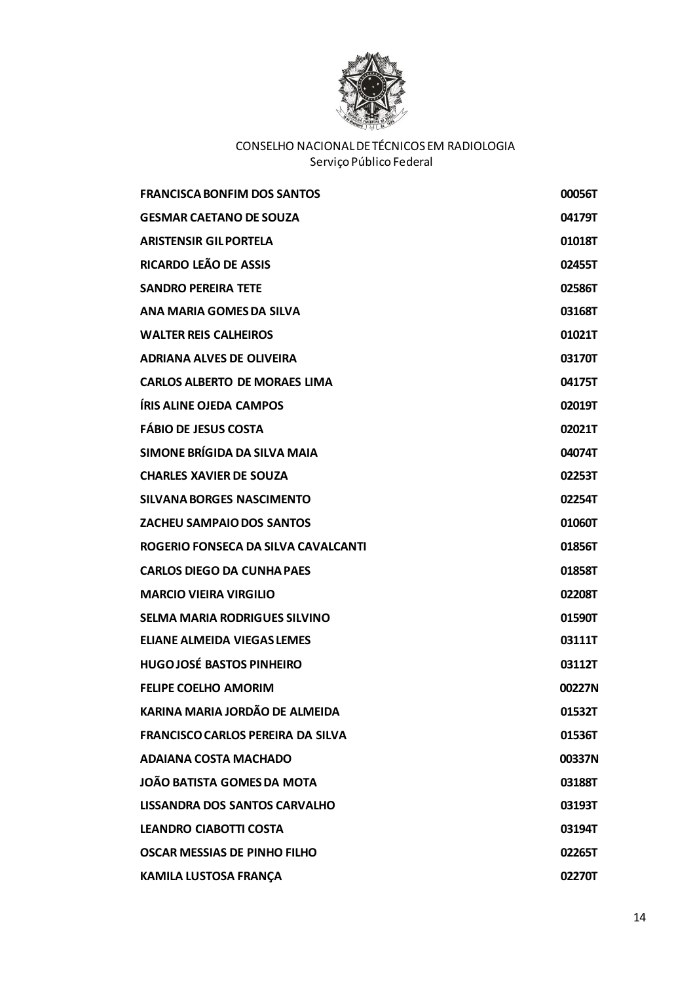

| <b>FRANCISCA BONFIM DOS SANTOS</b>       | 00056T |
|------------------------------------------|--------|
| <b>GESMAR CAETANO DE SOUZA</b>           | 04179T |
| <b>ARISTENSIR GILPORTELA</b>             | 01018T |
| RICARDO LEÃO DE ASSIS                    | 02455T |
| <b>SANDRO PEREIRA TETE</b>               | 02586T |
| ANA MARIA GOMES DA SILVA                 | 03168T |
| <b>WALTER REIS CALHEIROS</b>             | 01021T |
| <b>ADRIANA ALVES DE OLIVEIRA</b>         | 03170T |
| <b>CARLOS ALBERTO DE MORAES LIMA</b>     | 04175T |
| <b>ÍRIS ALINE OJEDA CAMPOS</b>           | 02019T |
| <b>FÁBIO DE JESUS COSTA</b>              | 02021T |
| SIMONE BRÍGIDA DA SILVA MAIA             | 04074T |
| <b>CHARLES XAVIER DE SOUZA</b>           | 02253T |
| <b>SILVANA BORGES NASCIMENTO</b>         | 02254T |
| <b>ZACHEU SAMPAIO DOS SANTOS</b>         | 01060T |
| ROGERIO FONSECA DA SILVA CAVALCANTI      | 01856T |
| <b>CARLOS DIEGO DA CUNHA PAES</b>        | 01858T |
| <b>MARCIO VIEIRA VIRGILIO</b>            | 02208T |
| <b>SELMA MARIA RODRIGUES SILVINO</b>     | 01590T |
| <b>ELIANE ALMEIDA VIEGAS LEMES</b>       | 03111T |
| <b>HUGOJOSÉ BASTOS PINHEIRO</b>          | 03112T |
| <b>FELIPE COELHO AMORIM</b>              | 00227N |
| KARINA MARIA JORDÃO DE ALMEIDA           | 01532T |
| <b>FRANCISCO CARLOS PEREIRA DA SILVA</b> | 01536T |
| <b>ADAIANA COSTA MACHADO</b>             | 00337N |
| <b>JOÃO BATISTA GOMES DA MOTA</b>        | 03188T |
| LISSANDRA DOS SANTOS CARVALHO            | 03193T |
| <b>LEANDRO CIABOTTI COSTA</b>            | 03194T |
| <b>OSCAR MESSIAS DE PINHO FILHO</b>      | 02265T |
| <b>KAMILA LUSTOSA FRANÇA</b>             | 02270T |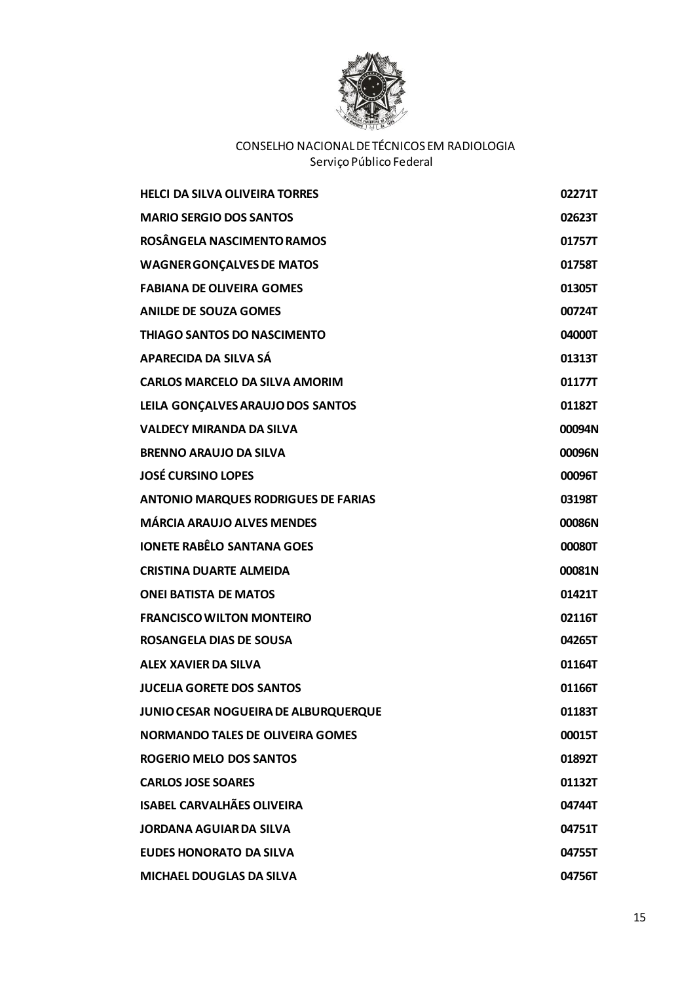

| <b>HELCI DA SILVA OLIVEIRA TORRES</b>      | 02271T |
|--------------------------------------------|--------|
| <b>MARIO SERGIO DOS SANTOS</b>             | 02623T |
| ROSÂNGELA NASCIMENTO RAMOS                 | 01757T |
| <b>WAGNER GONÇALVES DE MATOS</b>           | 01758T |
| <b>FABIANA DE OLIVEIRA GOMES</b>           | 01305T |
| <b>ANILDE DE SOUZA GOMES</b>               | 00724T |
| <b>THIAGO SANTOS DO NASCIMENTO</b>         | 04000T |
| APARECIDA DA SILVA SÁ                      | 01313T |
| <b>CARLOS MARCELO DA SILVA AMORIM</b>      | 01177T |
| LEILA GONÇALVES ARAUJO DOS SANTOS          | 01182T |
| <b>VALDECY MIRANDA DA SILVA</b>            | 00094N |
| <b>BRENNO ARAUJO DA SILVA</b>              | 00096N |
| <b>JOSÉ CURSINO LOPES</b>                  | 00096T |
| <b>ANTONIO MARQUES RODRIGUES DE FARIAS</b> | 03198T |
| <b>MÁRCIA ARAUJO ALVES MENDES</b>          | 00086N |
| <b>IONETE RABÊLO SANTANA GOES</b>          | 00080T |
| <b>CRISTINA DUARTE ALMEIDA</b>             | 00081N |
| <b>ONEI BATISTA DE MATOS</b>               | 01421T |
| <b>FRANCISCO WILTON MONTEIRO</b>           | 02116T |
| ROSANGELA DIAS DE SOUSA                    | 04265T |
| ALEX XAVIER DA SILVA                       | 01164T |
| <b>JUCELIA GORETE DOS SANTOS</b>           | 01166T |
| JUNIO CESAR NOGUEIRA DE ALBURQUERQUE       | 01183T |
| <b>NORMANDO TALES DE OLIVEIRA GOMES</b>    | 00015T |
| <b>ROGERIO MELO DOS SANTOS</b>             | 01892T |
| <b>CARLOS JOSE SOARES</b>                  | 01132T |
| <b>ISABEL CARVALHÃES OLIVEIRA</b>          | 04744T |
| <b>JORDANA AGUIAR DA SILVA</b>             | 04751T |
| <b>EUDES HONORATO DA SILVA</b>             | 04755T |
| <b>MICHAEL DOUGLAS DA SILVA</b>            | 04756T |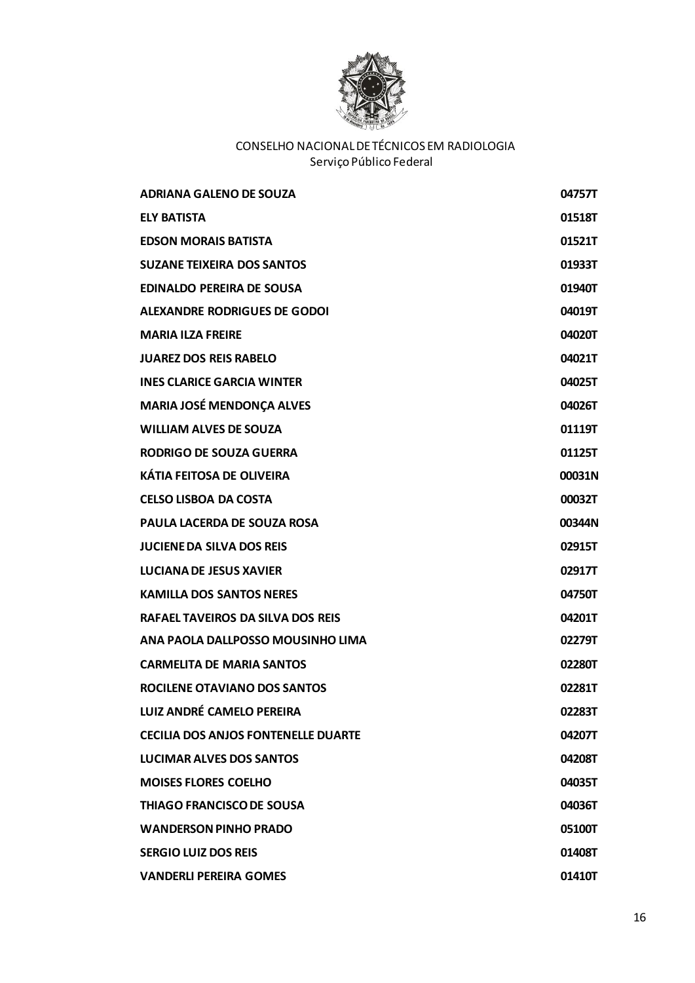

| <b>ADRIANA GALENO DE SOUZA</b>             | 04757T |
|--------------------------------------------|--------|
| <b>ELY BATISTA</b>                         | 01518T |
| <b>EDSON MORAIS BATISTA</b>                | 01521T |
| <b>SUZANE TEIXEIRA DOS SANTOS</b>          | 01933T |
| <b>EDINALDO PEREIRA DE SOUSA</b>           | 01940T |
| ALEXANDRE RODRIGUES DE GODOI               | 04019T |
| <b>MARIA ILZA FREIRE</b>                   | 04020T |
| <b>JUAREZ DOS REIS RABELO</b>              | 04021T |
| <b>INES CLARICE GARCIA WINTER</b>          | 04025T |
| <b>MARIA JOSÉ MENDONÇA ALVES</b>           | 04026T |
| <b>WILLIAM ALVES DE SOUZA</b>              | 01119T |
| <b>RODRIGO DE SOUZA GUERRA</b>             | 01125T |
| <b>KÁTIA FEITOSA DE OLIVEIRA</b>           | 00031N |
| <b>CELSO LISBOA DA COSTA</b>               | 00032T |
| <b>PAULA LACERDA DE SOUZA ROSA</b>         | 00344N |
| <b>JUCIENE DA SILVA DOS REIS</b>           | 02915T |
| <b>LUCIANA DE JESUS XAVIER</b>             | 02917T |
| <b>KAMILLA DOS SANTOS NERES</b>            | 04750T |
| <b>RAFAEL TAVEIROS DA SILVA DOS REIS</b>   | 04201T |
| ANA PAOLA DALLPOSSO MOUSINHO LIMA          | 02279T |
| <b>CARMELITA DE MARIA SANTOS</b>           | 02280T |
| ROCILENE OTAVIANO DOS SANTOS               | 02281T |
| LUIZ ANDRÉ CAMELO PEREIRA                  | 02283T |
| <b>CECILIA DOS ANJOS FONTENELLE DUARTE</b> | 04207T |
| LUCIMAR ALVES DOS SANTOS                   | 04208T |
| <b>MOISES FLORES COELHO</b>                | 04035T |
| <b>THIAGO FRANCISCO DE SOUSA</b>           | 04036T |
| <b>WANDERSON PINHO PRADO</b>               | 05100T |
| <b>SERGIO LUIZ DOS REIS</b>                | 01408T |
| <b>VANDERLI PEREIRA GOMES</b>              | 01410T |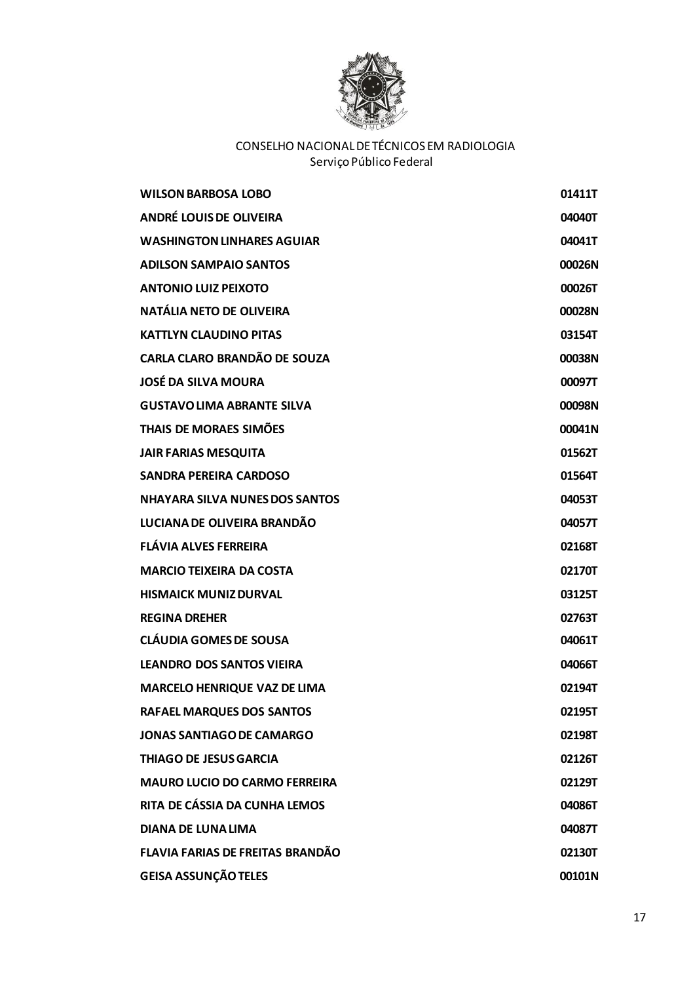

| <b>WILSON BARBOSA LOBO</b>              | 01411T |
|-----------------------------------------|--------|
| <b>ANDRÉ LOUIS DE OLIVEIRA</b>          | 04040T |
| <b>WASHINGTON LINHARES AGUIAR</b>       | 04041T |
| <b>ADILSON SAMPAIO SANTOS</b>           | 00026N |
| <b>ANTONIO LUIZ PEIXOTO</b>             | 00026T |
| NATÁLIA NETO DE OLIVEIRA                | 00028N |
| <b>KATTLYN CLAUDINO PITAS</b>           | 03154T |
| <b>CARLA CLARO BRANDÃO DE SOUZA</b>     | 00038N |
| <b>JOSÉ DA SILVA MOURA</b>              | 00097T |
| <b>GUSTAVO LIMA ABRANTE SILVA</b>       | 00098N |
| THAIS DE MORAES SIMÕES                  | 00041N |
| <b>JAIR FARIAS MESQUITA</b>             | 01562T |
| <b>SANDRA PEREIRA CARDOSO</b>           | 01564T |
| <b>NHAYARA SILVA NUNES DOS SANTOS</b>   | 04053T |
| LUCIANA DE OLIVEIRA BRANDÃO             | 04057T |
| <b>FLÁVIA ALVES FERREIRA</b>            | 02168T |
| <b>MARCIO TEIXEIRA DA COSTA</b>         | 02170T |
| <b>HISMAICK MUNIZ DURVAL</b>            | 03125T |
| <b>REGINA DREHER</b>                    | 02763T |
| <b>CLÁUDIA GOMES DE SOUSA</b>           | 04061T |
| <b>LEANDRO DOS SANTOS VIEIRA</b>        | 04066T |
| <b>MARCELO HENRIQUE VAZ DE LIMA</b>     | 02194T |
| <b>RAFAEL MARQUES DOS SANTOS</b>        | 02195T |
| <b>JONAS SANTIAGO DE CAMARGO</b>        | 02198T |
| <b>THIAGO DE JESUS GARCIA</b>           | 02126T |
| <b>MAURO LUCIO DO CARMO FERREIRA</b>    | 02129T |
| RITA DE CÁSSIA DA CUNHA LEMOS           | 04086T |
| <b>DIANA DE LUNA LIMA</b>               | 04087T |
| <b>FLAVIA FARIAS DE FREITAS BRANDÃO</b> | 02130T |
| <b>GEISA ASSUNÇÃO TELES</b>             | 00101N |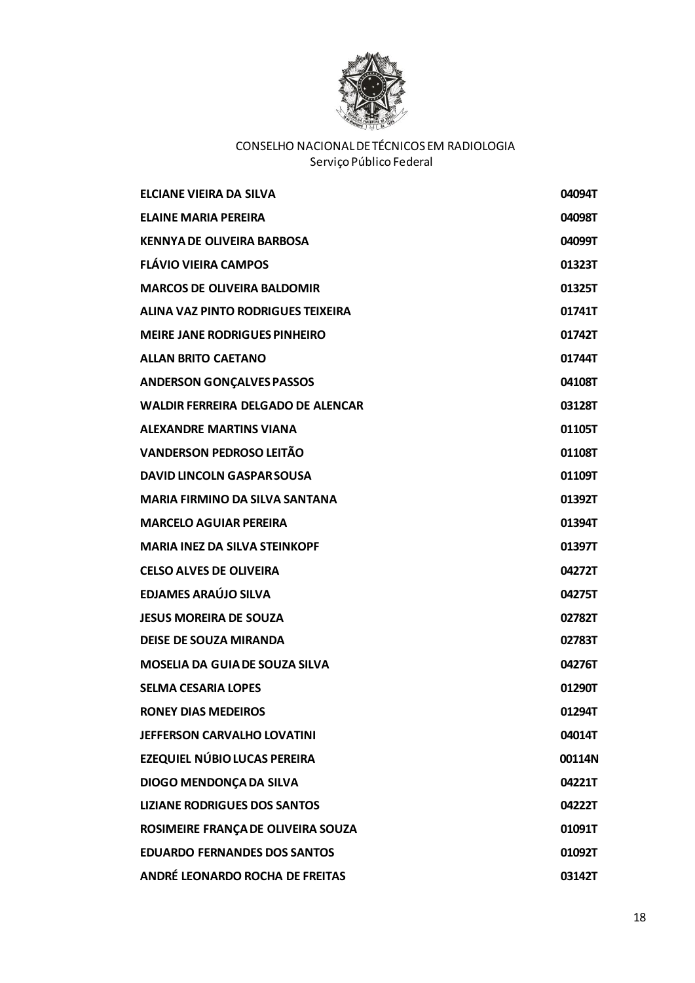

| FLCIANE VIFIRA DA SILVA                   | 04094T |
|-------------------------------------------|--------|
| <b>ELAINE MARIA PEREIRA</b>               | 04098T |
| <b>KENNYA DE OLIVEIRA BARBOSA</b>         | 04099T |
| <b>FLÁVIO VIEIRA CAMPOS</b>               | 01323T |
| <b>MARCOS DE OLIVEIRA BALDOMIR</b>        | 01325T |
| ALINA VAZ PINTO RODRIGUES TEIXEIRA        | 01741T |
| <b>MEIRE JANE RODRIGUES PINHEIRO</b>      | 01742T |
| <b>ALLAN BRITO CAETANO</b>                | 01744T |
| <b>ANDERSON GONÇALVES PASSOS</b>          | 04108T |
| <b>WALDIR FERREIRA DELGADO DE ALENCAR</b> | 03128T |
| <b>ALEXANDRE MARTINS VIANA</b>            | 01105T |
| <b>VANDERSON PEDROSO LEITÃO</b>           | 01108T |
| <b>DAVID LINCOLN GASPAR SOUSA</b>         | 01109T |
| <b>MARIA FIRMINO DA SILVA SANTANA</b>     | 01392T |
| <b>MARCELO AGUIAR PEREIRA</b>             | 01394T |
| <b>MARIA INEZ DA SILVA STEINKOPF</b>      | 01397T |
| <b>CELSO ALVES DE OLIVEIRA</b>            | 04272T |
| <b>EDJAMES ARAÚJO SILVA</b>               | 04275T |
| <b>JESUS MOREIRA DE SOUZA</b>             | 02782T |
| <b>DEISE DE SOUZA MIRANDA</b>             | 02783T |
| <b>MOSELIA DA GUIA DE SOUZA SILVA</b>     | 04276T |
| SELMA CESARIA LOPES                       | 01290T |
| <b>RONEY DIAS MEDEIROS</b>                | 01294T |
| JEFFERSON CARVALHO LOVATINI               | 04014T |
| EZEQUIEL NÚBIO LUCAS PEREIRA              | 00114N |
| DIOGO MENDONÇA DA SILVA                   | 04221T |
| <b>LIZIANE RODRIGUES DOS SANTOS</b>       | 04222T |
| ROSIMEIRE FRANÇA DE OLIVEIRA SOUZA        | 01091T |
| <b>EDUARDO FERNANDES DOS SANTOS</b>       | 01092T |
| ANDRÉ LEONARDO ROCHA DE FREITAS           | 03142T |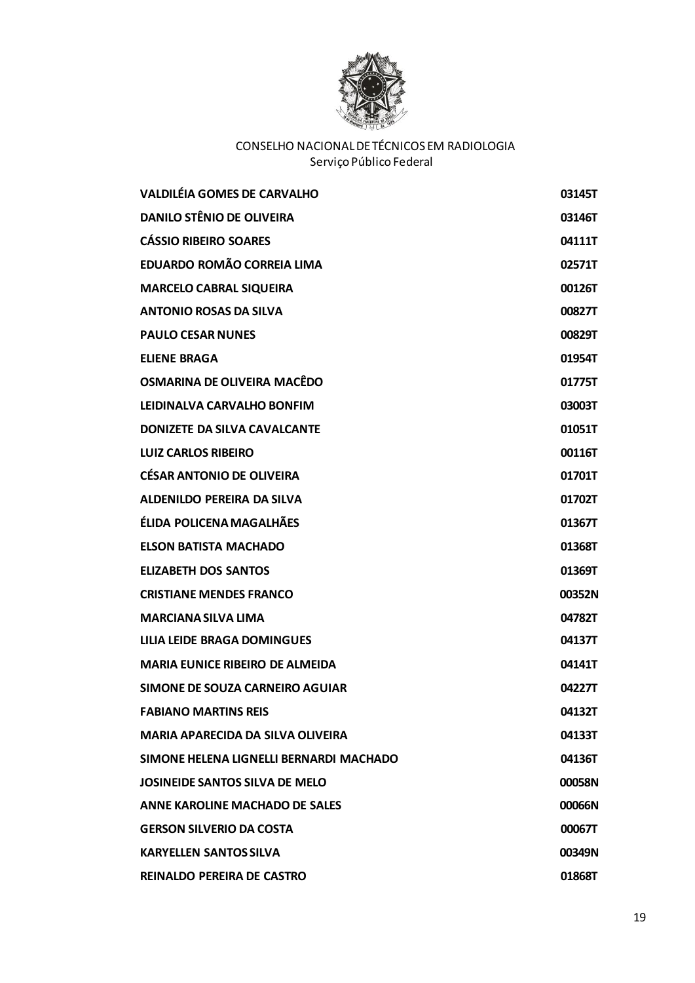

| <b>VALDILÉIA GOMES DE CARVALHO</b>       | 03145T |
|------------------------------------------|--------|
| <b>DANILO STÊNIO DE OLIVEIRA</b>         | 03146T |
| <b>CÁSSIO RIBEIRO SOARES</b>             | 04111T |
| EDUARDO ROMÃO CORREIA LIMA               | 02571T |
| <b>MARCELO CABRAL SIQUEIRA</b>           | 00126T |
| <b>ANTONIO ROSAS DA SILVA</b>            | 00827T |
| <b>PAULO CESAR NUNES</b>                 | 00829T |
| <b>ELIENE BRAGA</b>                      | 01954T |
| OSMARINA DE OLIVEIRA MACÊDO              | 01775T |
| LEIDINALVA CARVALHO BONFIM               | 03003T |
| <b>DONIZETE DA SILVA CAVALCANTE</b>      | 01051T |
| <b>LUIZ CARLOS RIBEIRO</b>               | 00116T |
| <b>CÉSAR ANTONIO DE OLIVEIRA</b>         | 01701T |
| <b>ALDENILDO PEREIRA DA SILVA</b>        | 01702T |
| ÉLIDA POLICENA MAGALHÃES                 | 01367T |
| <b>ELSON BATISTA MACHADO</b>             | 01368T |
| <b>ELIZABETH DOS SANTOS</b>              | 01369T |
| <b>CRISTIANE MENDES FRANCO</b>           | 00352N |
| <b>MARCIANA SILVA LIMA</b>               | 04782T |
| LILIA LEIDE BRAGA DOMINGUES              | 04137T |
| <b>MARIA EUNICE RIBEIRO DE ALMEIDA</b>   | 04141T |
| SIMONE DE SOUZA CARNEIRO AGUIAR          | 04227T |
| <b>FABIANO MARTINS REIS</b>              | 04132T |
| <b>MARIA APARECIDA DA SILVA OLIVEIRA</b> | 04133T |
| SIMONE HELENA LIGNELLI BERNARDI MACHADO  | 04136T |
| JOSINEIDE SANTOS SILVA DE MELO           | 00058N |
| ANNE KAROLINE MACHADO DE SALES           | 00066N |
| <b>GERSON SILVERIO DA COSTA</b>          | 00067T |
| <b>KARYELLEN SANTOS SILVA</b>            | 00349N |
| REINALDO PEREIRA DE CASTRO               | 01868T |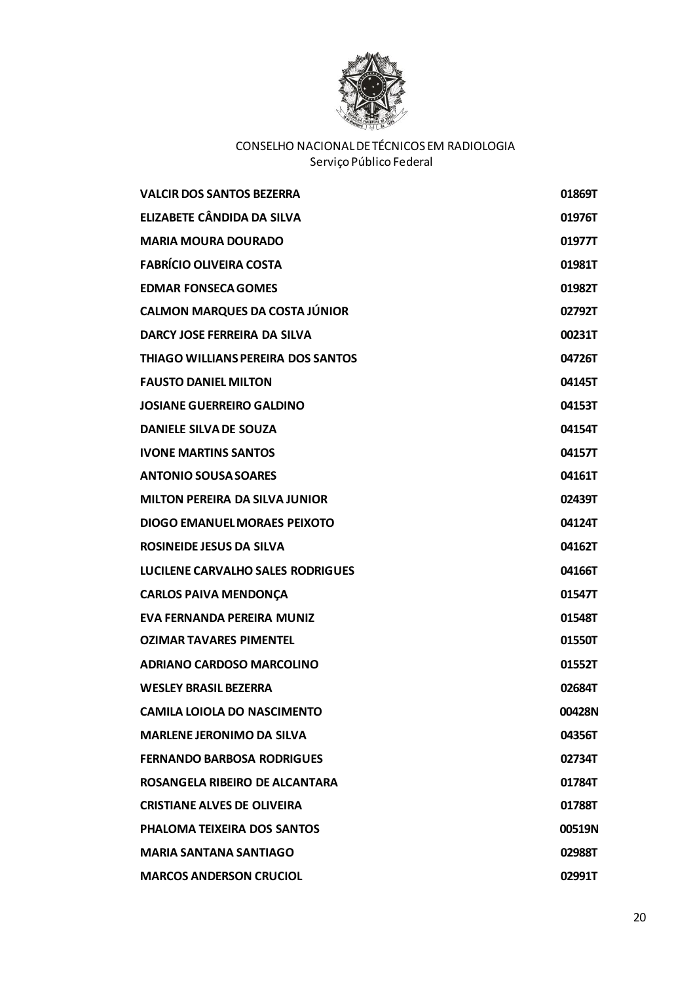

| <b>VALCIR DOS SANTOS BEZERRA</b>          | 01869T |
|-------------------------------------------|--------|
| <b>ELIZABETE CÂNDIDA DA SILVA</b>         | 01976T |
| <b>MARIA MOURA DOURADO</b>                | 01977T |
| <b>FABRÍCIO OLIVEIRA COSTA</b>            | 01981T |
| <b>EDMAR FONSECA GOMES</b>                | 01982T |
| <b>CALMON MARQUES DA COSTA JÚNIOR</b>     | 02792T |
| DARCY JOSE FERREIRA DA SILVA              | 00231T |
| <b>THIAGO WILLIANS PEREIRA DOS SANTOS</b> | 04726T |
| <b>FAUSTO DANIEL MILTON</b>               | 04145T |
| <b>JOSIANE GUERREIRO GALDINO</b>          | 04153T |
| <b>DANIELE SILVA DE SOUZA</b>             | 04154T |
| <b>IVONE MARTINS SANTOS</b>               | 04157T |
| <b>ANTONIO SOUSA SOARES</b>               | 04161T |
| <b>MILTON PEREIRA DA SILVA JUNIOR</b>     | 02439T |
| <b>DIOGO EMANUEL MORAES PEIXOTO</b>       | 04124T |
| <b>ROSINEIDE JESUS DA SILVA</b>           | 04162T |
| LUCILENE CARVALHO SALES RODRIGUES         | 04166T |
| <b>CARLOS PAIVA MENDONÇA</b>              | 01547T |
| EVA FERNANDA PEREIRA MUNIZ                | 01548T |
| <b>OZIMAR TAVARES PIMENTEL</b>            | 01550T |
| <b>ADRIANO CARDOSO MARCOLINO</b>          | 01552T |
| <b>WESLEY BRASIL BEZERRA</b>              | 02684T |
| <b>CAMILA LOIOLA DO NASCIMENTO</b>        | 00428N |
| <b>MARLENE JERONIMO DA SILVA</b>          | 04356T |
| <b>FERNANDO BARBOSA RODRIGUES</b>         | 02734T |
| ROSANGELA RIBEIRO DE ALCANTARA            | 01784T |
| <b>CRISTIANE ALVES DE OLIVEIRA</b>        | 01788T |
| PHALOMA TEIXEIRA DOS SANTOS               | 00519N |
| <b>MARIA SANTANA SANTIAGO</b>             | 02988T |
| <b>MARCOS ANDERSON CRUCIOL</b>            | 02991T |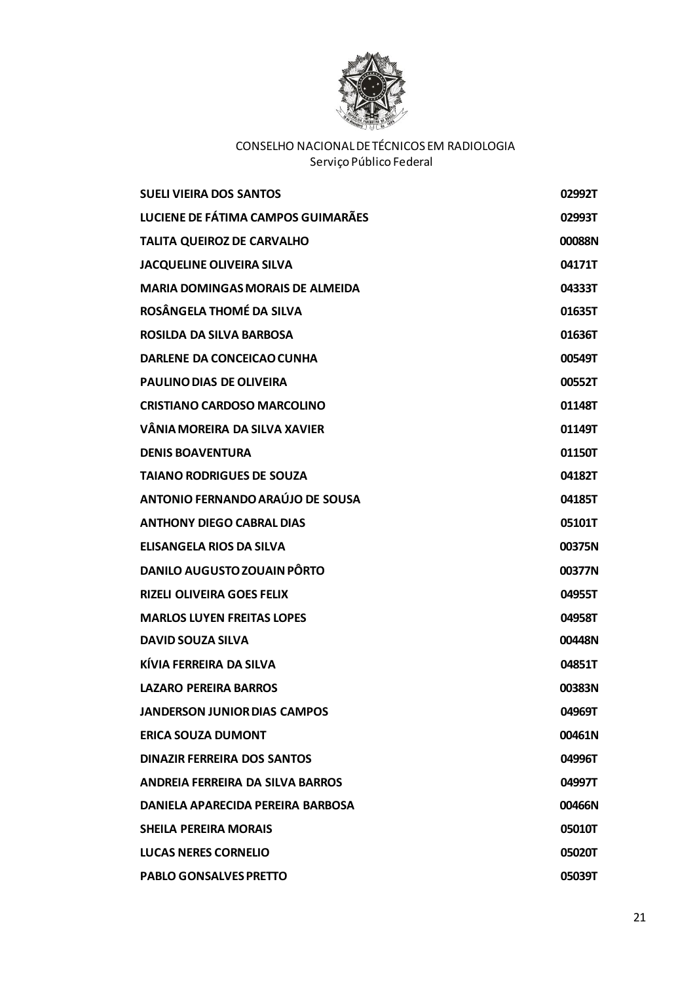

| <b>SUELI VIEIRA DOS SANTOS</b>          | 02992T |
|-----------------------------------------|--------|
| LUCIENE DE FÁTIMA CAMPOS GUIMARÃES      | 02993T |
| <b>TALITA QUEIROZ DE CARVALHO</b>       | 00088N |
| <b>JACQUELINE OLIVEIRA SILVA</b>        | 04171T |
| <b>MARIA DOMINGAS MORAIS DE ALMEIDA</b> | 04333T |
| ROSÂNGELA THOMÉ DA SILVA                | 01635T |
| ROSILDA DA SILVA BARBOSA                | 01636T |
| <b>DARLENE DA CONCEICAO CUNHA</b>       | 00549T |
| <b>PAULINO DIAS DE OLIVEIRA</b>         | 00552T |
| <b>CRISTIANO CARDOSO MARCOLINO</b>      | 01148T |
| VÂNIA MOREIRA DA SILVA XAVIER           | 01149T |
| <b>DENIS BOAVENTURA</b>                 | 01150T |
| <b>TAIANO RODRIGUES DE SOUZA</b>        | 04182T |
| ANTONIO FERNANDO ARAÚJO DE SOUSA        | 04185T |
| <b>ANTHONY DIEGO CABRAL DIAS</b>        | 05101T |
| <b>ELISANGELA RIOS DA SILVA</b>         | 00375N |
| <b>DANILO AUGUSTO ZOUAIN PÔRTO</b>      | 00377N |
| <b>RIZELI OLIVEIRA GOES FELIX</b>       | 04955T |
| <b>MARLOS LUYEN FREITAS LOPES</b>       | 04958T |
| <b>DAVID SOUZA SILVA</b>                | 00448N |
| KÍVIA FERREIRA DA SILVA                 | 04851T |
| <b>LAZARO PEREIRA BARROS</b>            | 00383N |
| <b>JANDERSON JUNIOR DIAS CAMPOS</b>     | 04969T |
| <b>ERICA SOUZA DUMONT</b>               | 00461N |
| <b>DINAZIR FERREIRA DOS SANTOS</b>      | 04996T |
| ANDREIA FERREIRA DA SILVA BARROS        | 04997T |
| DANIELA APARECIDA PEREIRA BARBOSA       | 00466N |
| <b>SHEILA PEREIRA MORAIS</b>            | 05010T |
| <b>LUCAS NERES CORNELIO</b>             | 05020T |
| <b>PABLO GONSALVES PRETTO</b>           | 05039T |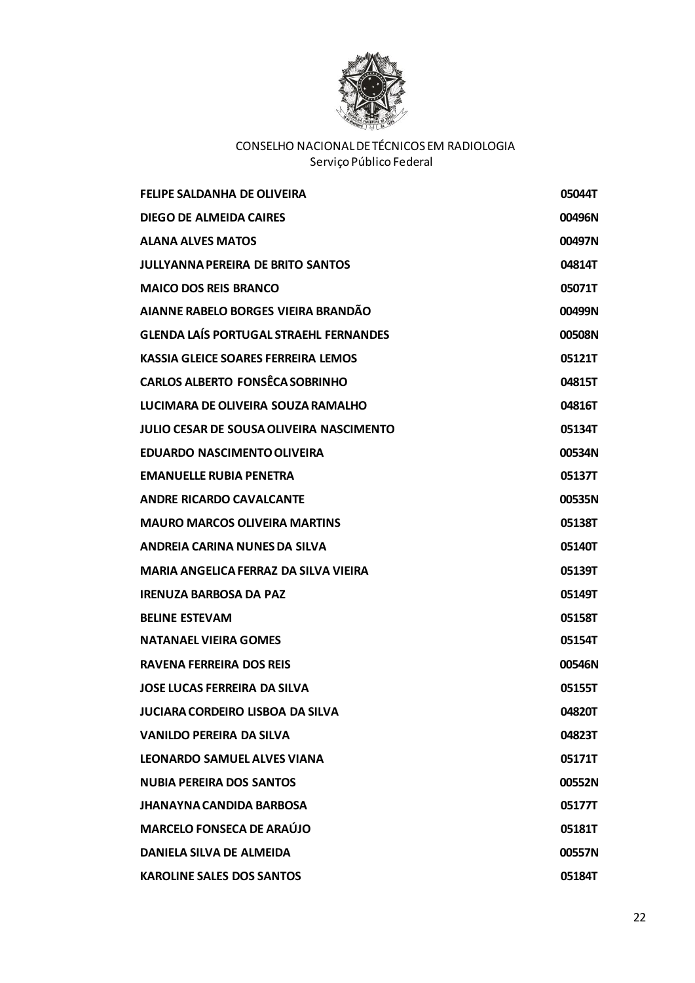

| <b>FELIPE SALDANHA DE OLIVEIRA</b>              | 05044T |
|-------------------------------------------------|--------|
| <b>DIEGO DE ALMEIDA CAIRES</b>                  | 00496N |
| <b>ALANA ALVES MATOS</b>                        | 00497N |
| <b>JULLYANNA PEREIRA DE BRITO SANTOS</b>        | 04814T |
| <b>MAICO DOS REIS BRANCO</b>                    | 05071T |
| AIANNE RABELO BORGES VIEIRA BRANDÃO             | 00499N |
| <b>GLENDA LAÍS PORTUGAL STRAEHL FERNANDES</b>   | 00508N |
| <b>KASSIA GLEICE SOARES FERREIRA LEMOS</b>      | 05121T |
| <b>CARLOS ALBERTO FONSÊCA SOBRINHO</b>          | 04815T |
| LUCIMARA DE OLIVEIRA SOUZA RAMALHO              | 04816T |
| <b>JULIO CESAR DE SOUSA OLIVEIRA NASCIMENTO</b> | 05134T |
| <b>EDUARDO NASCIMENTO OLIVEIRA</b>              | 00534N |
| <b>EMANUELLE RUBIA PENETRA</b>                  | 05137T |
| <b>ANDRE RICARDO CAVALCANTE</b>                 | 00535N |
| <b>MAURO MARCOS OLIVEIRA MARTINS</b>            | 05138T |
| ANDREIA CARINA NUNES DA SILVA                   | 05140T |
| <b>MARIA ANGELICA FERRAZ DA SILVA VIEIRA</b>    | 05139T |
| <b>IRENUZA BARBOSA DA PAZ</b>                   | 05149T |
| <b>BELINE ESTEVAM</b>                           | 05158T |
| <b>NATANAEL VIEIRA GOMES</b>                    | 05154T |
| <b>RAVENA FERREIRA DOS REIS</b>                 | 00546N |
| <b>JOSE LUCAS FERREIRA DA SILVA</b>             | 05155T |
| <b>JUCIARA CORDEIRO LISBOA DA SILVA</b>         | 04820T |
| <b>VANILDO PEREIRA DA SILVA</b>                 | 04823T |
| <b>LEONARDO SAMUEL ALVES VIANA</b>              | 05171T |
| <b>NUBIA PEREIRA DOS SANTOS</b>                 | 00552N |
| <b>JHANAYNA CANDIDA BARBOSA</b>                 | 05177T |
| <b>MARCELO FONSECA DE ARAÚJO</b>                | 05181T |
| DANIELA SILVA DE ALMEIDA                        | 00557N |
| <b>KAROLINE SALES DOS SANTOS</b>                | 05184T |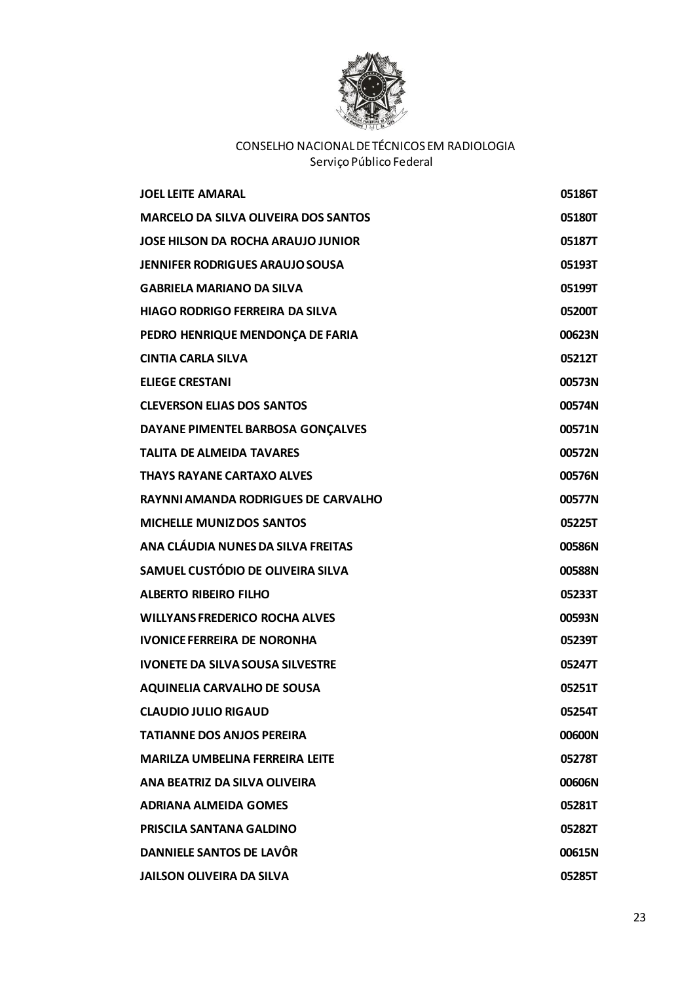

| <b>JOEL LEITE AMARAL</b>                    | 05186T |
|---------------------------------------------|--------|
| <b>MARCELO DA SILVA OLIVEIRA DOS SANTOS</b> | 05180T |
| JOSE HILSON DA ROCHA ARAUJO JUNIOR          | 05187T |
| <b>JENNIFER RODRIGUES ARAUJO SOUSA</b>      | 05193T |
| <b>GABRIELA MARIANO DA SILVA</b>            | 05199T |
| HIAGO RODRIGO FERREIRA DA SILVA             | 05200T |
| PEDRO HENRIQUE MENDONÇA DE FARIA            | 00623N |
| <b>CINTIA CARLA SILVA</b>                   | 05212T |
| <b>ELIEGE CRESTANI</b>                      | 00573N |
| <b>CLEVERSON ELIAS DOS SANTOS</b>           | 00574N |
| DAYANE PIMENTEL BARBOSA GONÇALVES           | 00571N |
| <b>TALITA DE ALMEIDA TAVARES</b>            | 00572N |
| <b>THAYS RAYANE CARTAXO ALVES</b>           | 00576N |
| <b>RAYNNI AMANDA RODRIGUES DE CARVALHO</b>  | 00577N |
| <b>MICHELLE MUNIZ DOS SANTOS</b>            | 05225T |
| ANA CLÁUDIA NUNES DA SILVA FREITAS          | 00586N |
| SAMUEL CUSTÓDIO DE OLIVEIRA SILVA           | 00588N |
| <b>ALBERTO RIBEIRO FILHO</b>                | 05233T |
| <b>WILLYANS FREDERICO ROCHA ALVES</b>       | 00593N |
| <b>IVONICE FERREIRA DE NORONHA</b>          | 05239T |
| <b>IVONETE DA SILVA SOUSA SILVESTRE</b>     | 05247T |
| <b>AQUINELIA CARVALHO DE SOUSA</b>          | 05251T |
| <b>CLAUDIO JULIO RIGAUD</b>                 | 05254T |
| <b>TATIANNE DOS ANJOS PEREIRA</b>           | 00600N |
| <b>MARILZA UMBELINA FERREIRA LEITE</b>      | 05278T |
| ANA BEATRIZ DA SILVA OLIVEIRA               | 00606N |
| <b>ADRIANA ALMEIDA GOMES</b>                | 05281T |
| <b>PRISCILA SANTANA GALDINO</b>             | 05282T |
| DANNIELE SANTOS DE LAVÔR                    | 00615N |
| <b>JAILSON OLIVEIRA DA SILVA</b>            | 05285T |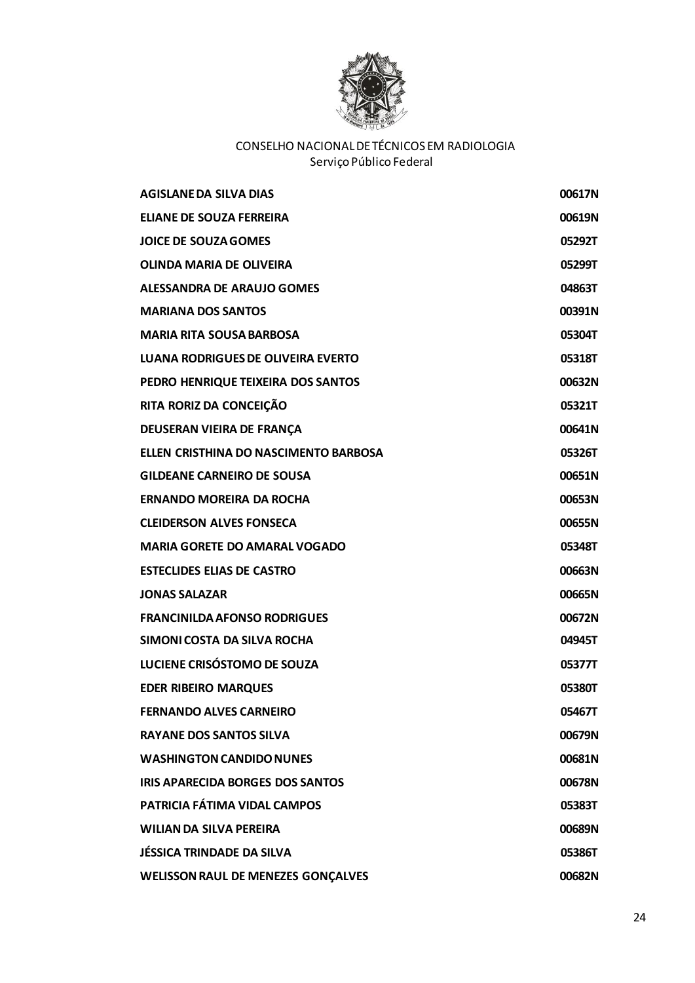

| AGISLANE DA SILVA DIAS                    | 00617N |
|-------------------------------------------|--------|
| <b>ELIANE DE SOUZA FERREIRA</b>           | 00619N |
| <b>JOICE DE SOUZA GOMES</b>               | 05292T |
| <b>OLINDA MARIA DE OLIVEIRA</b>           | 05299T |
| <b>ALESSANDRA DE ARAUJO GOMES</b>         | 04863T |
| <b>MARIANA DOS SANTOS</b>                 | 00391N |
| <b>MARIA RITA SOUSA BARBOSA</b>           | 05304T |
| <b>LUANA RODRIGUES DE OLIVEIRA EVERTO</b> | 05318T |
| PEDRO HENRIQUE TEIXEIRA DOS SANTOS        | 00632N |
| RITA RORIZ DA CONCEIÇÃO                   | 05321T |
| DEUSERAN VIEIRA DE FRANÇA                 | 00641N |
| ELLEN CRISTHINA DO NASCIMENTO BARBOSA     | 05326T |
| <b>GILDEANE CARNEIRO DE SOUSA</b>         | 00651N |
| <b>ERNANDO MOREIRA DA ROCHA</b>           | 00653N |
| <b>CLEIDERSON ALVES FONSECA</b>           | 00655N |
| <b>MARIA GORETE DO AMARAL VOGADO</b>      | 05348T |
| <b>ESTECLIDES ELIAS DE CASTRO</b>         | 00663N |
| <b>JONAS SALAZAR</b>                      | 00665N |
| <b>FRANCINILDA AFONSO RODRIGUES</b>       | 00672N |
| SIMONI COSTA DA SILVA ROCHA               | 04945T |
| LUCIENE CRISÓSTOMO DE SOUZA               | 05377T |
| <b>EDER RIBEIRO MARQUES</b>               | 05380T |
| <b>FERNANDO ALVES CARNEIRO</b>            | 05467T |
| <b>RAYANE DOS SANTOS SILVA</b>            | 00679N |
| <b>WASHINGTON CANDIDO NUNES</b>           | 00681N |
| <b>IRIS APARECIDA BORGES DOS SANTOS</b>   | 00678N |
| PATRICIA FÁTIMA VIDAL CAMPOS              | 05383T |
| <b>WILIAN DA SILVA PEREIRA</b>            | 00689N |
| JÉSSICA TRINDADE DA SILVA                 | 05386T |
| <b>WELISSON RAUL DE MENEZES GONÇALVES</b> | 00682N |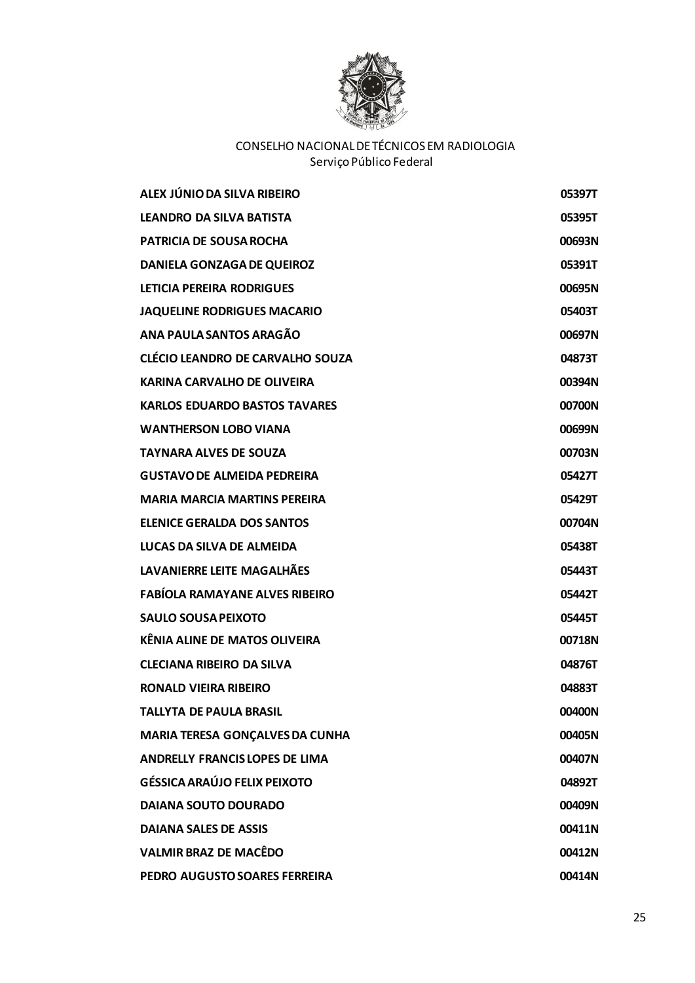

| ALEX JÚNIO DA SILVA RIBEIRO             | 05397T |
|-----------------------------------------|--------|
| <b>LEANDRO DA SILVA BATISTA</b>         | 05395T |
| <b>PATRICIA DE SOUSA ROCHA</b>          | 00693N |
| <b>DANIELA GONZAGA DE QUEIROZ</b>       | 05391T |
| LETICIA PEREIRA RODRIGUES               | 00695N |
| <b>JAQUELINE RODRIGUES MACARIO</b>      | 05403T |
| ANA PAULA SANTOS ARAGÃO                 | 00697N |
| <b>CLÉCIO LEANDRO DE CARVALHO SOUZA</b> | 04873T |
| <b>KARINA CARVALHO DE OLIVEIRA</b>      | 00394N |
| <b>KARLOS EDUARDO BASTOS TAVARES</b>    | 00700N |
| <b>WANTHERSON LOBO VIANA</b>            | 00699N |
| <b>TAYNARA ALVES DE SOUZA</b>           | 00703N |
| <b>GUSTAVO DE ALMEIDA PEDREIRA</b>      | 05427T |
| <b>MARIA MARCIA MARTINS PEREIRA</b>     | 05429T |
| <b>ELENICE GERALDA DOS SANTOS</b>       | 00704N |
| LUCAS DA SILVA DE ALMEIDA               | 05438T |
| LAVANIERRE LEITE MAGALHÃES              | 05443T |
| <b>FABÍOLA RAMAYANE ALVES RIBEIRO</b>   | 05442T |
| <b>SAULO SOUSA PEIXOTO</b>              | 05445T |
| <b>KÊNIA ALINE DE MATOS OLIVEIRA</b>    | 00718N |
| <b>CLECIANA RIBEIRO DA SILVA</b>        | 04876T |
| <b>RONALD VIEIRA RIBEIRO</b>            | 04883T |
| <b>TALLYTA DE PAULA BRASIL</b>          | 00400N |
| <b>MARIA TERESA GONÇALVES DA CUNHA</b>  | 00405N |
| <b>ANDRELLY FRANCIS LOPES DE LIMA</b>   | 00407N |
| <b>GÉSSICA ARAÚJO FELIX PEIXOTO</b>     | 04892T |
| <b>DAIANA SOUTO DOURADO</b>             | 00409N |
| <b>DAIANA SALES DE ASSIS</b>            | 00411N |
| <b>VALMIR BRAZ DE MACÊDO</b>            | 00412N |
| PEDRO AUGUSTO SOARES FERREIRA           | 00414N |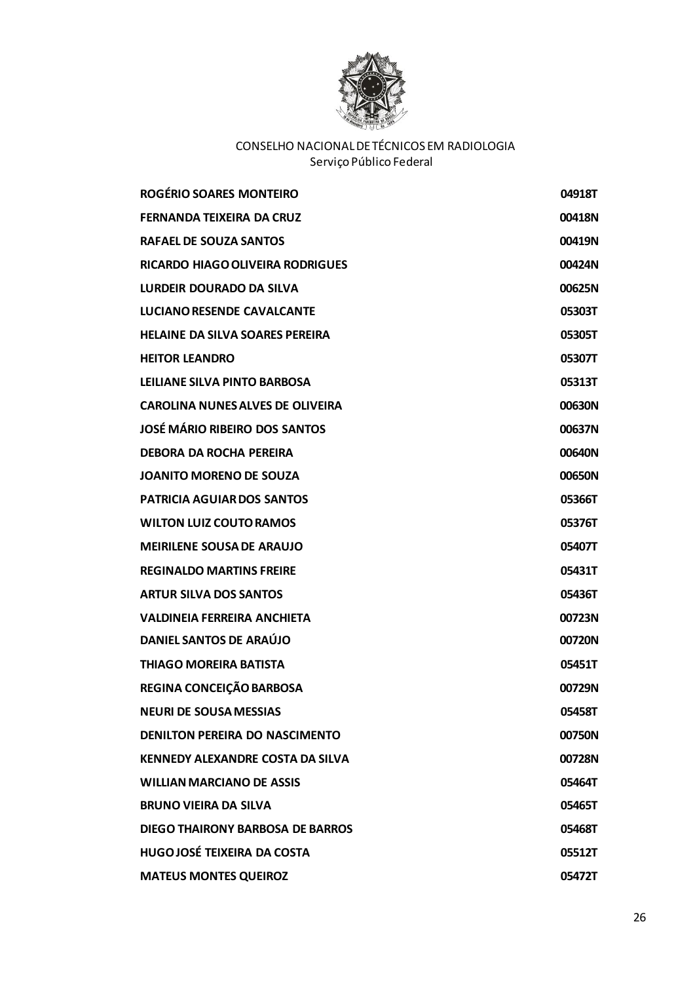

| <b>ROGÉRIO SOARES MONTEIRO</b>          | 04918T |
|-----------------------------------------|--------|
| <b>FERNANDA TEIXEIRA DA CRUZ</b>        | 00418N |
| <b>RAFAEL DE SOUZA SANTOS</b>           | 00419N |
| <b>RICARDO HIAGO OLIVEIRA RODRIGUES</b> | 00424N |
| LURDEIR DOURADO DA SILVA                | 00625N |
| <b>LUCIANO RESENDE CAVALCANTE</b>       | 05303T |
| <b>HELAINE DA SILVA SOARES PEREIRA</b>  | 05305T |
| <b>HEITOR LEANDRO</b>                   | 05307T |
| LEILIANE SILVA PINTO BARBOSA            | 05313T |
| <b>CAROLINA NUNES ALVES DE OLIVEIRA</b> | 00630N |
| <b>JOSÉ MÁRIO RIBEIRO DOS SANTOS</b>    | 00637N |
| <b>DEBORA DA ROCHA PEREIRA</b>          | 00640N |
| <b>JOANITO MORENO DE SOUZA</b>          | 00650N |
| <b>PATRICIA AGUIARDOS SANTOS</b>        | 05366T |
| <b>WILTON LUIZ COUTO RAMOS</b>          | 05376T |
| <b>MEIRILENE SOUSA DE ARAUJO</b>        | 05407T |
| <b>REGINALDO MARTINS FREIRE</b>         | 05431T |
| <b>ARTUR SILVA DOS SANTOS</b>           | 05436T |
| <b>VALDINEIA FERREIRA ANCHIETA</b>      | 00723N |
| DANIEL SANTOS DE ARAÚJO                 | 00720N |
| <b>THIAGO MOREIRA BATISTA</b>           | 05451T |
| REGINA CONCEIÇÃO BARBOSA                | 00729N |
| <b>NEURI DE SOUSA MESSIAS</b>           | 05458T |
| <b>DENILTON PEREIRA DO NASCIMENTO</b>   | 00750N |
| <b>KENNEDY ALEXANDRE COSTA DA SILVA</b> | 00728N |
| <b>WILLIAN MARCIANO DE ASSIS</b>        | 05464T |
| <b>BRUNO VIEIRA DA SILVA</b>            | 05465T |
| DIEGO THAIRONY BARBOSA DE BARROS        | 05468T |
| <b>HUGOJOSÉ TEIXEIRA DA COSTA</b>       | 05512T |
| <b>MATEUS MONTES QUEIROZ</b>            | 05472T |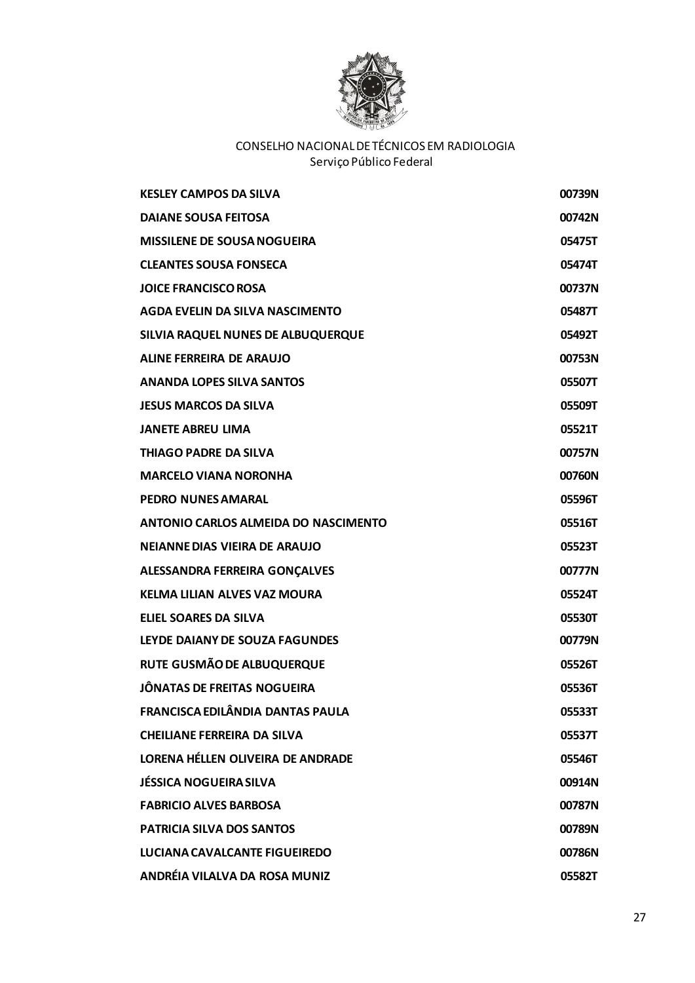

| <b>KESLEY CAMPOS DA SILVA</b>        | 00739N |
|--------------------------------------|--------|
| <b>DAIANE SOUSA FEITOSA</b>          | 00742N |
| <b>MISSILENE DE SOUSA NOGUEIRA</b>   | 05475T |
| <b>CLEANTES SOUSA FONSECA</b>        | 05474T |
| <b>JOICE FRANCISCO ROSA</b>          | 00737N |
| AGDA EVELIN DA SILVA NASCIMENTO      | 05487T |
| SILVIA RAQUEL NUNES DE ALBUQUERQUE   | 05492T |
| <b>ALINE FERREIRA DE ARAUJO</b>      | 00753N |
| <b>ANANDA LOPES SILVA SANTOS</b>     | 05507T |
| <b>JESUS MARCOS DA SILVA</b>         | 05509T |
| <b>JANETE ABREU LIMA</b>             | 05521T |
| <b>THIAGO PADRE DA SILVA</b>         | 00757N |
| <b>MARCELO VIANA NORONHA</b>         | 00760N |
| <b>PEDRO NUNES AMARAL</b>            | 05596T |
| ANTONIO CARLOS ALMEIDA DO NASCIMENTO | 05516T |
| NEIANNE DIAS VIEIRA DE ARAUJO        | 05523T |
| ALESSANDRA FERREIRA GONÇALVES        | 00777N |
| <b>KELMA LILIAN ALVES VAZ MOURA</b>  | 05524T |
| <b>ELIEL SOARES DA SILVA</b>         | 05530T |
| LEYDE DAIANY DE SOUZA FAGUNDES       | 00779N |
| RUTE GUSMÃO DE ALBUQUERQUE           | 05526T |
| JÔNATAS DE FREITAS NOGUEIRA          | 05536T |
| FRANCISCA EDILÂNDIA DANTAS PAULA     | 05533T |
| <b>CHEILIANE FERREIRA DA SILVA</b>   | 05537T |
| LORENA HÉLLEN OLIVEIRA DE ANDRADE    | 05546T |
| <b>JÉSSICA NOGUEIRA SILVA</b>        | 00914N |
| <b>FABRICIO ALVES BARBOSA</b>        | 00787N |
| <b>PATRICIA SILVA DOS SANTOS</b>     | 00789N |
| LUCIANA CAVALCANTE FIGUEIREDO        | 00786N |
| <b>ANDRÉIA VILALVA DA ROSA MUNIZ</b> | 05582T |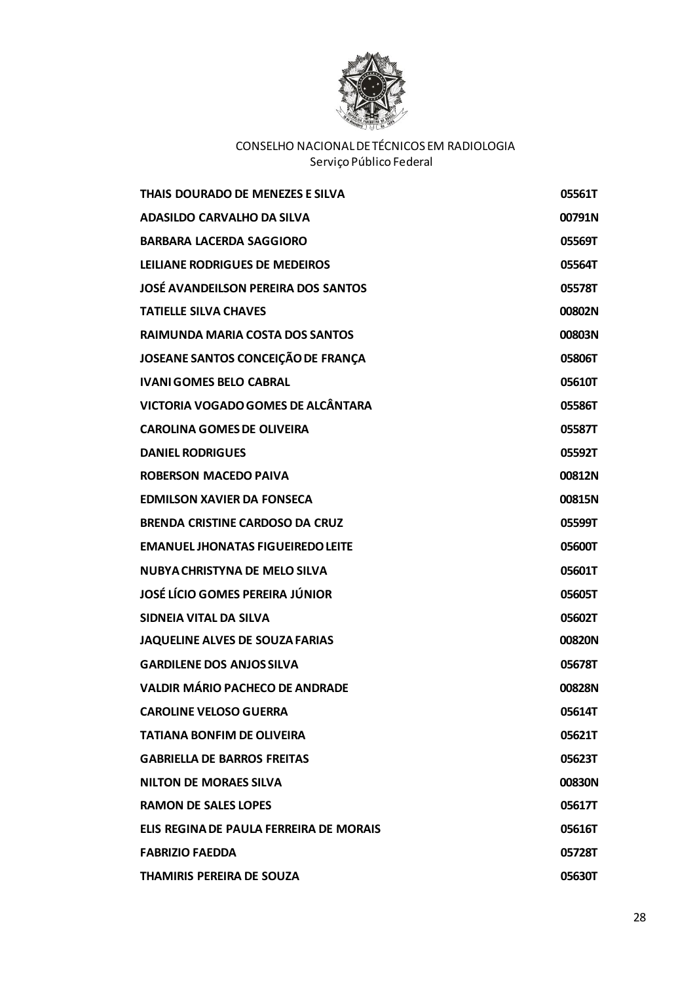

| THAIS DOURADO DE MENEZES E SILVA           | 05561T |
|--------------------------------------------|--------|
| <b>ADASILDO CARVALHO DA SILVA</b>          | 00791N |
| <b>BARBARA LACERDA SAGGIORO</b>            | 05569T |
| LEILIANE RODRIGUES DE MEDEIROS             | 05564T |
| <b>JOSÉ AVANDEILSON PEREIRA DOS SANTOS</b> | 05578T |
| <b>TATIELLE SILVA CHAVES</b>               | 00802N |
| RAIMUNDA MARIA COSTA DOS SANTOS            | 00803N |
| JOSEANE SANTOS CONCEIÇÃO DE FRANÇA         | 05806T |
| <b>IVANI GOMES BELO CABRAL</b>             | 05610T |
| <b>VICTORIA VOGADO GOMES DE ALCÂNTARA</b>  | 05586T |
| <b>CAROLINA GOMES DE OLIVEIRA</b>          | 05587T |
| <b>DANIEL RODRIGUES</b>                    | 05592T |
| <b>ROBERSON MACEDO PAIVA</b>               | 00812N |
| <b>EDMILSON XAVIER DA FONSECA</b>          | 00815N |
| <b>BRENDA CRISTINE CARDOSO DA CRUZ</b>     | 05599T |
| <b>EMANUEL JHONATAS FIGUEIREDO LEITE</b>   | 05600T |
| <b>NUBYA CHRISTYNA DE MELO SILVA</b>       | 05601T |
| <b>JOSÉ LÍCIO GOMES PEREIRA JÚNIOR</b>     | 05605T |
| SIDNEIA VITAL DA SILVA                     | 05602T |
| <b>JAQUELINE ALVES DE SOUZA FARIAS</b>     | 00820N |
| <b>GARDILENE DOS ANJOS SILVA</b>           | 05678T |
| <b>VALDIR MÁRIO PACHECO DE ANDRADE</b>     | 00828N |
| <b>CAROLINE VELOSO GUERRA</b>              | 05614T |
| <b>TATIANA BONFIM DE OLIVEIRA</b>          | 05621T |
| <b>GABRIELLA DE BARROS FREITAS</b>         | 05623T |
| <b>NILTON DE MORAES SILVA</b>              | 00830N |
| <b>RAMON DE SALES LOPES</b>                | 05617T |
| ELIS REGINA DE PAULA FERREIRA DE MORAIS    | 05616T |
| <b>FABRIZIO FAEDDA</b>                     | 05728T |
| <b>THAMIRIS PEREIRA DE SOUZA</b>           | 05630T |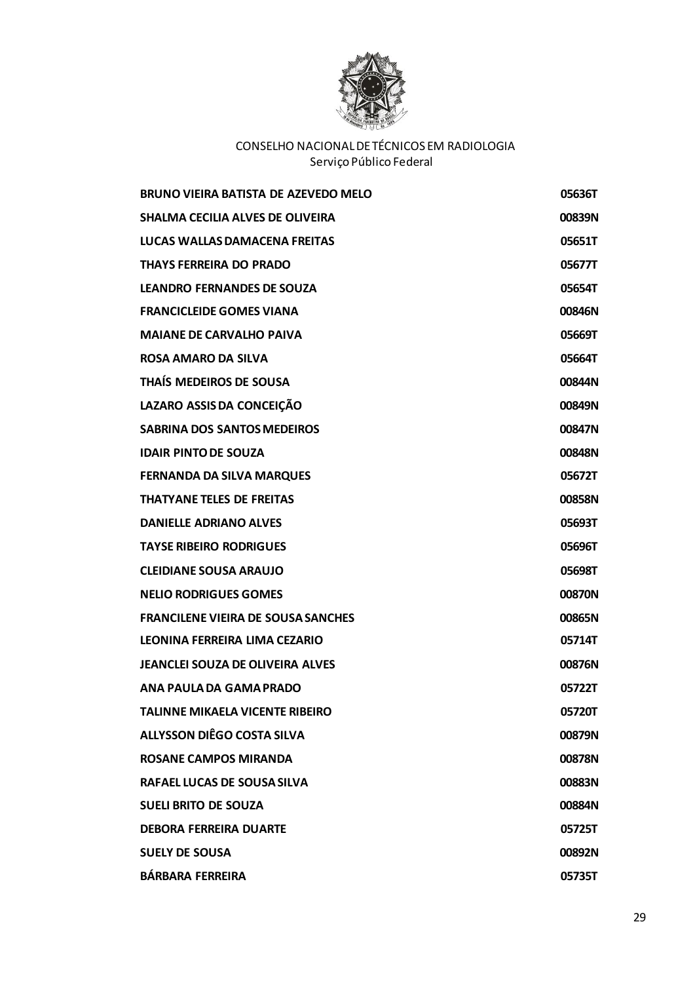

| <b>BRUNO VIEIRA BATISTA DE AZEVEDO MELO</b> | 05636T |
|---------------------------------------------|--------|
| <b>SHALMA CECILIA ALVES DE OLIVEIRA</b>     | 00839N |
| LUCAS WALLAS DAMACENA FREITAS               | 05651T |
| <b>THAYS FERREIRA DO PRADO</b>              | 05677T |
| <b>LEANDRO FERNANDES DE SOUZA</b>           | 05654T |
| <b>FRANCICLEIDE GOMES VIANA</b>             | 00846N |
| <b>MAIANE DE CARVALHO PAIVA</b>             | 05669T |
| <b>ROSA AMARO DA SILVA</b>                  | 05664T |
| THAÍS MEDEIROS DE SOUSA                     | 00844N |
| LAZARO ASSIS DA CONCEIÇÃO                   | 00849N |
| <b>SABRINA DOS SANTOS MEDEIROS</b>          | 00847N |
| <b>IDAIR PINTO DE SOUZA</b>                 | 00848N |
| <b>FERNANDA DA SILVA MARQUES</b>            | 05672T |
| <b>THATYANE TELES DE FREITAS</b>            | 00858N |
| <b>DANIELLE ADRIANO ALVES</b>               | 05693T |
| <b>TAYSE RIBEIRO RODRIGUES</b>              | 05696T |
| <b>CLEIDIANE SOUSA ARAUJO</b>               | 05698T |
| <b>NELIO RODRIGUES GOMES</b>                | 00870N |
| <b>FRANCILENE VIEIRA DE SOUSA SANCHES</b>   | 00865N |
| LEONINA FERREIRA LIMA CEZARIO               | 05714T |
| <b>JEANCLEI SOUZA DE OLIVEIRA ALVES</b>     | 00876N |
| ANA PAULA DA GAMA PRADO                     | 05722T |
| <b>TALINNE MIKAELA VICENTE RIBEIRO</b>      | 05720T |
| <b>ALLYSSON DIÊGO COSTA SILVA</b>           | 00879N |
| <b>ROSANE CAMPOS MIRANDA</b>                | 00878N |
| RAFAEL LUCAS DE SOUSA SILVA                 | 00883N |
| <b>SUELI BRITO DE SOUZA</b>                 | 00884N |
| <b>DEBORA FERREIRA DUARTE</b>               | 05725T |
| <b>SUELY DE SOUSA</b>                       | 00892N |
| <b>BÁRBARA FERREIRA</b>                     | 05735T |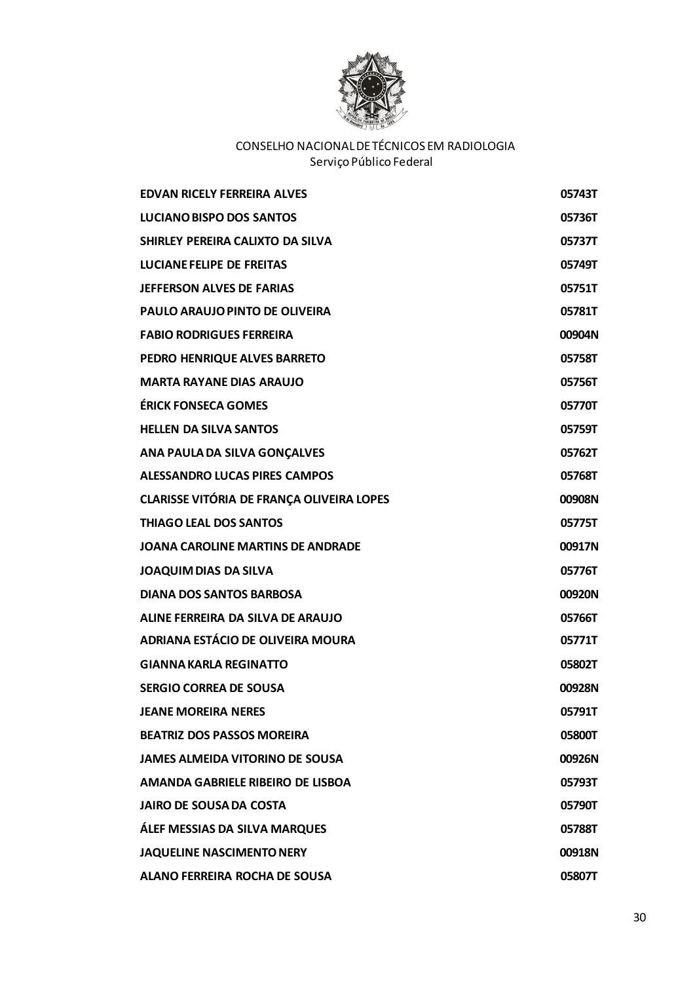

| <b>FDVAN RICELY FFRREIRA ALVES</b>               | 05743T |
|--------------------------------------------------|--------|
| <b>LUCIANO BISPO DOS SANTOS</b>                  | 05736T |
| SHIRLEY PEREIRA CALIXTO DA SILVA                 | 05737T |
| <b>LUCIANE FELIPE DE FREITAS</b>                 | 05749T |
| <b>JEFFERSON ALVES DE FARIAS</b>                 | 05751T |
| PAULO ARAUJO PINTO DE OLIVEIRA                   | 05781T |
| <b>FABIO RODRIGUES FERREIRA</b>                  | 00904N |
| PEDRO HENRIQUE ALVES BARRETO                     | 05758T |
| <b>MARTA RAYANE DIAS ARAUJO</b>                  | 05756T |
| <b>ÉRICK FONSECA GOMES</b>                       | 05770T |
| <b>HELLEN DA SILVA SANTOS</b>                    | 05759T |
| ANA PAULA DA SILVA GONÇALVES                     | 05762T |
| <b>ALESSANDRO LUCAS PIRES CAMPOS</b>             | 05768T |
| <b>CLARISSE VITÓRIA DE FRANÇA OLIVEIRA LOPES</b> | 00908N |
| <b>THIAGO LEAL DOS SANTOS</b>                    | 05775T |
| <b>JOANA CAROLINE MARTINS DE ANDRADE</b>         | 00917N |
| <b>JOAQUIM DIAS DA SILVA</b>                     | 05776T |
| <b>DIANA DOS SANTOS BARBOSA</b>                  | 00920N |
| ALINE FERREIRA DA SILVA DE ARAUJO                | 05766T |
| ADRIANA ESTÁCIO DE OLIVEIRA MOURA                | 05771T |
| <b>GIANNA KARLA REGINATTO</b>                    | 05802T |
| <b>SERGIO CORREA DE SOUSA</b>                    | 00928N |
| <b>JEANE MOREIRA NERES</b>                       | 05791T |
| <b>BEATRIZ DOS PASSOS MOREIRA</b>                | 05800T |
| <b>JAMES ALMEIDA VITORINO DE SOUSA</b>           | 00926N |
| AMANDA GABRIELE RIBEIRO DE LISBOA                | 05793T |
| <b>JAIRO DE SOUSA DA COSTA</b>                   | 05790T |
| <b>ÁLEF MESSIAS DA SILVA MARQUES</b>             | 05788T |
| <b>JAQUELINE NASCIMENTO NERY</b>                 | 00918N |
| <b>ALANO FERREIRA ROCHA DE SOUSA</b>             | 05807T |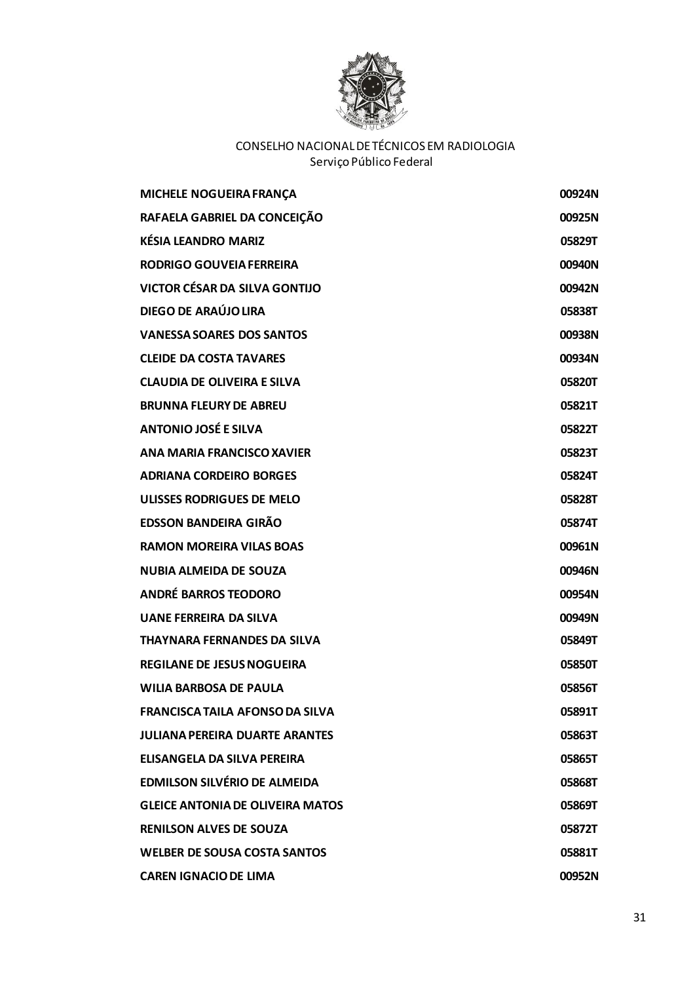

| MICHELE NOGUEIRA FRANÇA                 | 00924N |
|-----------------------------------------|--------|
| RAFAELA GABRIEL DA CONCEIÇÃO            | 00925N |
| <b>KÉSIA LEANDRO MARIZ</b>              | 05829T |
| <b>RODRIGO GOUVEIA FERREIRA</b>         | 00940N |
| <b>VICTOR CÉSAR DA SILVA GONTIJO</b>    | 00942N |
| DIEGO DE ARAÚJO LIRA                    | 05838T |
| <b>VANESSA SOARES DOS SANTOS</b>        | 00938N |
| <b>CLEIDE DA COSTA TAVARES</b>          | 00934N |
| <b>CLAUDIA DE OLIVEIRA E SILVA</b>      | 05820T |
| <b>BRUNNA FLEURY DE ABREU</b>           | 05821T |
| <b>ANTONIO JOSÉ E SILVA</b>             | 05822T |
| ANA MARIA FRANCISCO XAVIER              | 05823T |
| <b>ADRIANA CORDEIRO BORGES</b>          | 05824T |
| <b>ULISSES RODRIGUES DE MELO</b>        | 05828T |
| <b>EDSSON BANDEIRA GIRÃO</b>            | 05874T |
| <b>RAMON MOREIRA VILAS BOAS</b>         | 00961N |
| <b>NUBIA ALMEIDA DE SOUZA</b>           | 00946N |
| <b>ANDRÉ BARROS TEODORO</b>             | 00954N |
| <b>UANE FERREIRA DA SILVA</b>           | 00949N |
| <b>THAYNARA FERNANDES DA SILVA</b>      | 05849T |
| <b>REGILANE DE JESUS NOGUEIRA</b>       | 05850T |
| <b>WILIA BARBOSA DE PAULA</b>           | 05856T |
| <b>FRANCISCA TAILA AFONSO DA SILVA</b>  | 05891T |
| <b>JULIANA PEREIRA DUARTE ARANTES</b>   | 05863T |
| ELISANGELA DA SILVA PEREIRA             | 05865T |
| <b>EDMILSON SILVÉRIO DE ALMEIDA</b>     | 05868T |
| <b>GLEICE ANTONIA DE OLIVEIRA MATOS</b> | 05869T |
| <b>RENILSON ALVES DE SOUZA</b>          | 05872T |
| <b>WELBER DE SOUSA COSTA SANTOS</b>     | 05881T |
| <b>CAREN IGNACIO DE LIMA</b>            | 00952N |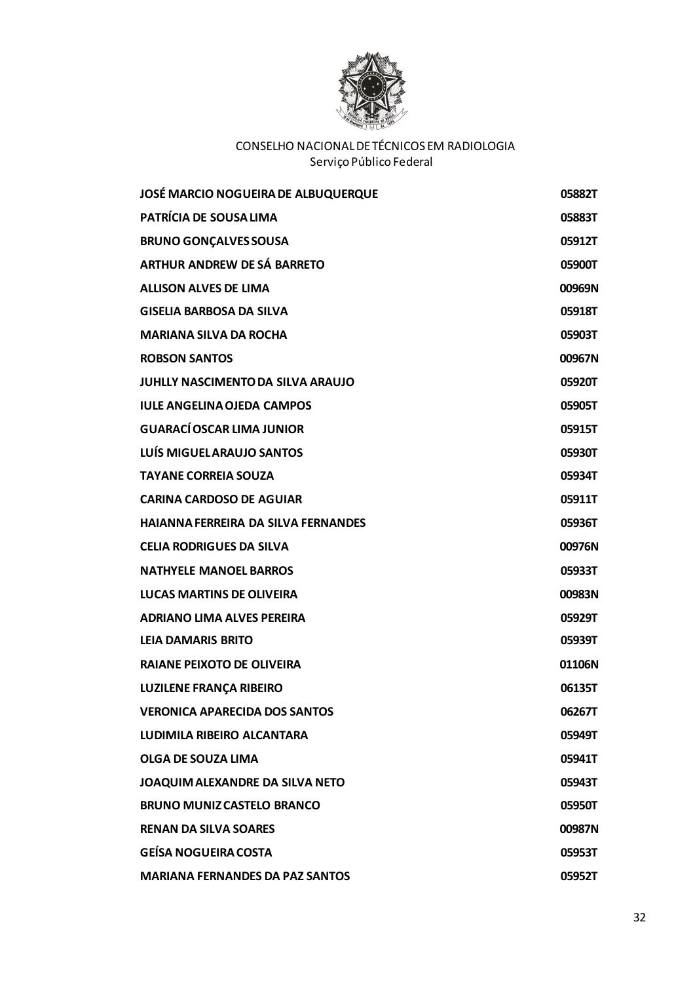

| <b>JOSÉ MARCIO NOGUEIRA DE ALBUQUERQUE</b> | 05882T |
|--------------------------------------------|--------|
| PATRÍCIA DE SOUSA LIMA                     | 05883T |
| <b>BRUNO GONÇALVES SOUSA</b>               | 05912T |
| <b>ARTHUR ANDREW DE SÁ BARRETO</b>         | 05900T |
| <b>ALLISON ALVES DE LIMA</b>               | 00969N |
| <b>GISELIA BARBOSA DA SILVA</b>            | 05918T |
| <b>MARIANA SILVA DA ROCHA</b>              | 05903T |
| <b>ROBSON SANTOS</b>                       | 00967N |
| <b>JUHLLY NASCIMENTO DA SILVA ARAUJO</b>   | 05920T |
| <b>IULE ANGELINA OJEDA CAMPOS</b>          | 05905T |
| <b>GUARACÍ OSCAR LIMA JUNIOR</b>           | 05915T |
| <b>LUÍS MIGUEL ARAUJO SANTOS</b>           | 05930T |
| <b>TAYANE CORREIA SOUZA</b>                | 05934T |
| <b>CARINA CARDOSO DE AGUIAR</b>            | 05911T |
| <b>HAIANNA FERREIRA DA SILVA FERNANDES</b> | 05936T |
| <b>CELIA RODRIGUES DA SILVA</b>            | 00976N |
| <b>NATHYELE MANOEL BARROS</b>              | 05933T |
| <b>LUCAS MARTINS DE OLIVEIRA</b>           | 00983N |
| <b>ADRIANO LIMA ALVES PEREIRA</b>          | 05929T |
| <b>LEIA DAMARIS BRITO</b>                  | 05939T |
| <b>RAIANE PEIXOTO DE OLIVEIRA</b>          | 01106N |
| <b>LUZILENE FRANÇA RIBEIRO</b>             | 06135T |
| <b>VERONICA APARECIDA DOS SANTOS</b>       | 06267T |
| LUDIMILA RIBEIRO ALCANTARA                 | 05949T |
| <b>OLGA DE SOUZA LIMA</b>                  | 05941T |
| JOAQUIM ALEXANDRE DA SILVA NETO            | 05943T |
| <b>BRUNO MUNIZ CASTELO BRANCO</b>          | 05950T |
| <b>RENAN DA SILVA SOARES</b>               | 00987N |
| <b>GEÍSA NOGUEIRA COSTA</b>                | 05953T |
| <b>MARIANA FERNANDES DA PAZ SANTOS</b>     | 05952T |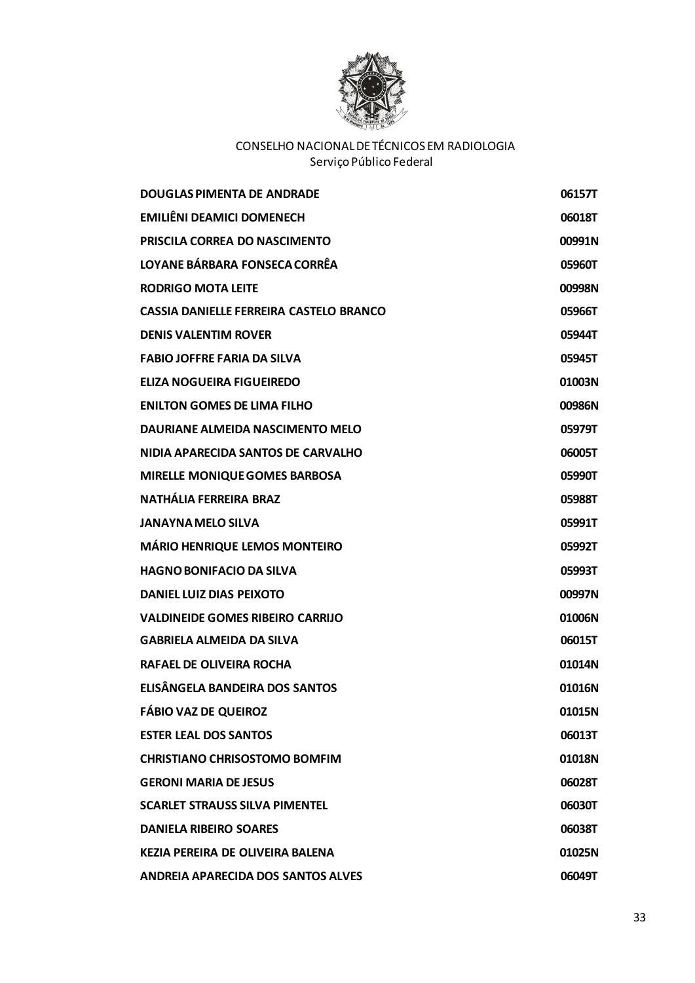

| <b>DOUGLAS PIMENTA DE ANDRADE</b>              | 06157T |
|------------------------------------------------|--------|
| <b>EMILIÊNI DEAMICI DOMENECH</b>               | 06018T |
| PRISCILA CORREA DO NASCIMENTO                  | 00991N |
| LOYANE BÁRBARA FONSECA CORRÊA                  | 05960T |
| <b>RODRIGO MOTA LEITE</b>                      | 00998N |
| <b>CASSIA DANIELLE FERREIRA CASTELO BRANCO</b> | 05966T |
| <b>DENIS VALENTIM ROVER</b>                    | 05944T |
| <b>FABIO JOFFRE FARIA DA SILVA</b>             | 05945T |
| <b>ELIZA NOGUEIRA FIGUEIREDO</b>               | 01003N |
| <b>ENILTON GOMES DE LIMA FILHO</b>             | 00986N |
| DAURIANE ALMEIDA NASCIMENTO MELO               | 05979T |
| NIDIA APARECIDA SANTOS DE CARVALHO             | 06005T |
| <b>MIRELLE MONIQUE GOMES BARBOSA</b>           | 05990T |
| <b>NATHÁLIA FERREIRA BRAZ</b>                  | 05988T |
| <b>JANAYNA MELO SILVA</b>                      | 05991T |
| <b>MÁRIO HENRIQUE LEMOS MONTEIRO</b>           | 05992T |
| <b>HAGNO BONIFACIO DA SILVA</b>                | 05993T |
| DANIEL LUIZ DIAS PEIXOTO                       | 00997N |
| <b>VALDINEIDE GOMES RIBEIRO CARRIJO</b>        | 01006N |
| <b>GABRIELA ALMEIDA DA SILVA</b>               | 06015T |
| <b>RAFAEL DE OLIVEIRA ROCHA</b>                | 01014N |
| ELISÂNGELA BANDEIRA DOS SANTOS                 | 01016N |
| <b>FÁBIO VAZ DE QUEIROZ</b>                    | 01015N |
| <b>ESTER LEAL DOS SANTOS</b>                   | 06013T |
| <b>CHRISTIANO CHRISOSTOMO BOMFIM</b>           | 01018N |
| <b>GERONI MARIA DE JESUS</b>                   | 06028T |
| <b>SCARLET STRAUSS SILVA PIMENTEL</b>          | 06030T |
| <b>DANIELA RIBEIRO SOARES</b>                  | 06038T |
| <b>KEZIA PEREIRA DE OLIVEIRA BALENA</b>        | 01025N |
| ANDREIA APARECIDA DOS SANTOS ALVES             | 06049T |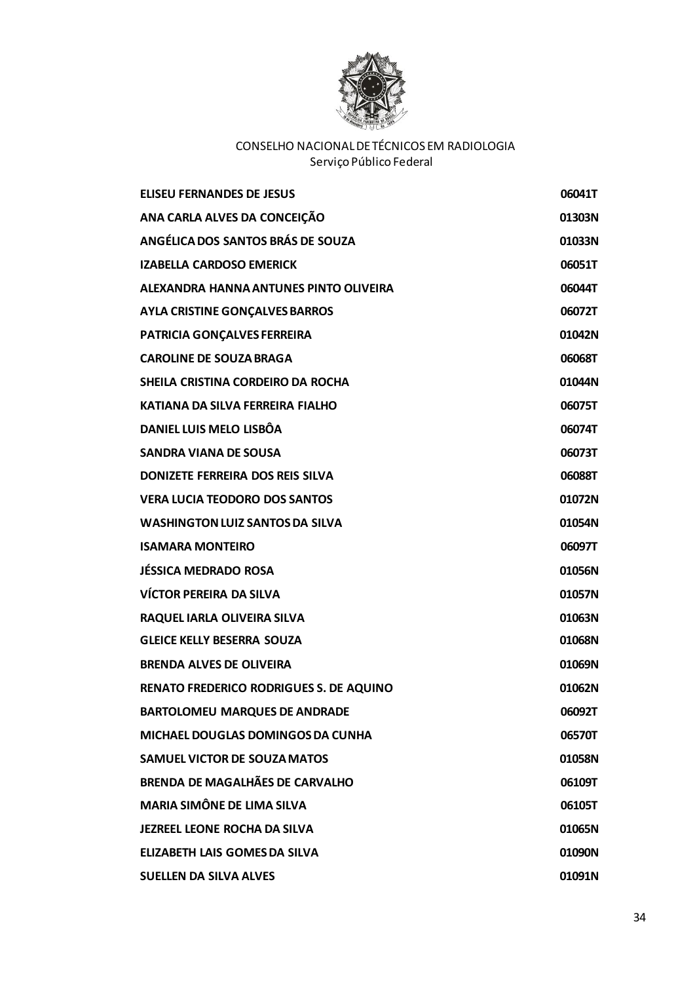

| <b>ELISEU FERNANDES DE JESUS</b>               | 06041T |
|------------------------------------------------|--------|
| ANA CARLA ALVES DA CONCEIÇÃO                   | 01303N |
| ANGÉLICA DOS SANTOS BRÁS DE SOUZA              | 01033N |
| <b>IZABELLA CARDOSO EMERICK</b>                | 06051T |
| ALEXANDRA HANNA ANTUNES PINTO OLIVEIRA         | 06044T |
| <b>AYLA CRISTINE GONÇALVES BARROS</b>          | 06072T |
| PATRICIA GONÇALVES FERREIRA                    | 01042N |
| <b>CAROLINE DE SOUZA BRAGA</b>                 | 06068T |
| SHEILA CRISTINA CORDEIRO DA ROCHA              | 01044N |
| KATIANA DA SILVA FERREIRA FIALHO               | 06075T |
| DANIEL LUIS MELO LISBÔA                        | 06074T |
| <b>SANDRA VIANA DE SOUSA</b>                   | 06073T |
| DONIZETE FERREIRA DOS REIS SILVA               | 06088T |
| <b>VERA LUCIA TEODORO DOS SANTOS</b>           | 01072N |
| <b>WASHINGTON LUIZ SANTOS DA SILVA</b>         | 01054N |
| <b>ISAMARA MONTEIRO</b>                        | 06097T |
| <b>JÉSSICA MEDRADO ROSA</b>                    | 01056N |
| <b>VÍCTOR PEREIRA DA SILVA</b>                 | 01057N |
| RAQUEL IARLA OLIVEIRA SILVA                    | 01063N |
| <b>GLEICE KELLY BESERRA SOUZA</b>              | 01068N |
| <b>BRENDA ALVES DE OLIVEIRA</b>                | 01069N |
| <b>RENATO FREDERICO RODRIGUES S. DE AQUINO</b> | 01062N |
| <b>BARTOLOMEU MARQUES DE ANDRADE</b>           | 06092T |
| MICHAEL DOUGLAS DOMINGOS DA CUNHA              | 06570T |
| <b>SAMUEL VICTOR DE SOUZA MATOS</b>            | 01058N |
| <b>BRENDA DE MAGALHÃES DE CARVALHO</b>         | 06109T |
| <b>MARIA SIMÔNE DE LIMA SILVA</b>              | 06105T |
| <b>JEZREEL LEONE ROCHA DA SILVA</b>            | 01065N |
| <b>ELIZABETH LAIS GOMES DA SILVA</b>           | 01090N |
| <b>SUELLEN DA SILVA ALVES</b>                  | 01091N |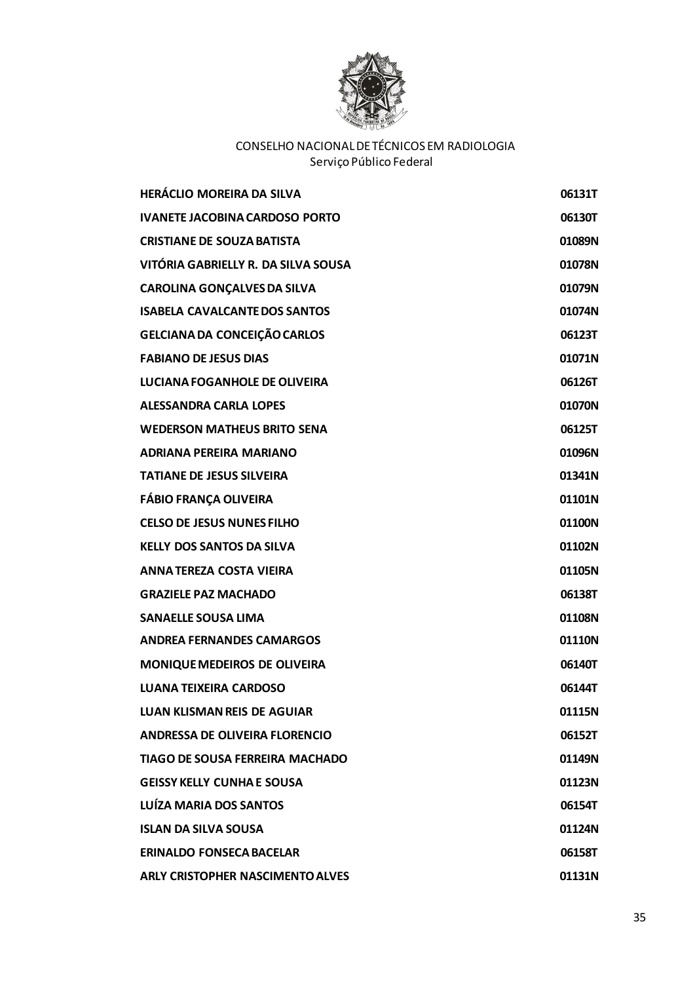

| <b>HERÁCLIO MOREIRA DA SILVA</b>        | 06131T |
|-----------------------------------------|--------|
| <b>IVANETE JACOBINA CARDOSO PORTO</b>   | 06130T |
| <b>CRISTIANE DE SOUZA BATISTA</b>       | 01089N |
| VITÓRIA GABRIELLY R. DA SILVA SOUSA     | 01078N |
| <b>CAROLINA GONÇALVES DA SILVA</b>      | 01079N |
| <b>ISABELA CAVALCANTE DOS SANTOS</b>    | 01074N |
| <b>GELCIANA DA CONCEIÇÃO CARLOS</b>     | 06123T |
| <b>FABIANO DE JESUS DIAS</b>            | 01071N |
| LUCIANA FOGANHOLE DE OLIVEIRA           | 06126T |
| <b>ALESSANDRA CARLA LOPES</b>           | 01070N |
| <b>WEDERSON MATHEUS BRITO SENA</b>      | 06125T |
| <b>ADRIANA PEREIRA MARIANO</b>          | 01096N |
| <b>TATIANE DE JESUS SILVEIRA</b>        | 01341N |
| <b>FÁBIO FRANÇA OLIVEIRA</b>            | 01101N |
| <b>CELSO DE JESUS NUNES FILHO</b>       | 01100N |
| <b>KELLY DOS SANTOS DA SILVA</b>        | 01102N |
| <b>ANNA TEREZA COSTA VIEIRA</b>         | 01105N |
| <b>GRAZIELE PAZ MACHADO</b>             | 06138T |
| <b>SANAELLE SOUSA LIMA</b>              | 01108N |
| <b>ANDREA FERNANDES CAMARGOS</b>        | 01110N |
| MONIQUE MEDEIROS DE OLIVEIRA            | 06140T |
| <b>LUANA TEIXEIRA CARDOSO</b>           | 06144T |
| <b>LUAN KLISMAN REIS DE AGUIAR</b>      | 01115N |
| ANDRESSA DE OLIVEIRA FLORENCIO          | 06152T |
| <b>TIAGO DE SOUSA FERREIRA MACHADO</b>  | 01149N |
| <b>GEISSY KELLY CUNHA E SOUSA</b>       | 01123N |
| LUÍZA MARIA DOS SANTOS                  | 06154T |
| <b>ISLAN DA SILVA SOUSA</b>             | 01124N |
| <b>ERINALDO FONSECA BACELAR</b>         | 06158T |
| <b>ARLY CRISTOPHER NASCIMENTO ALVES</b> | 01131N |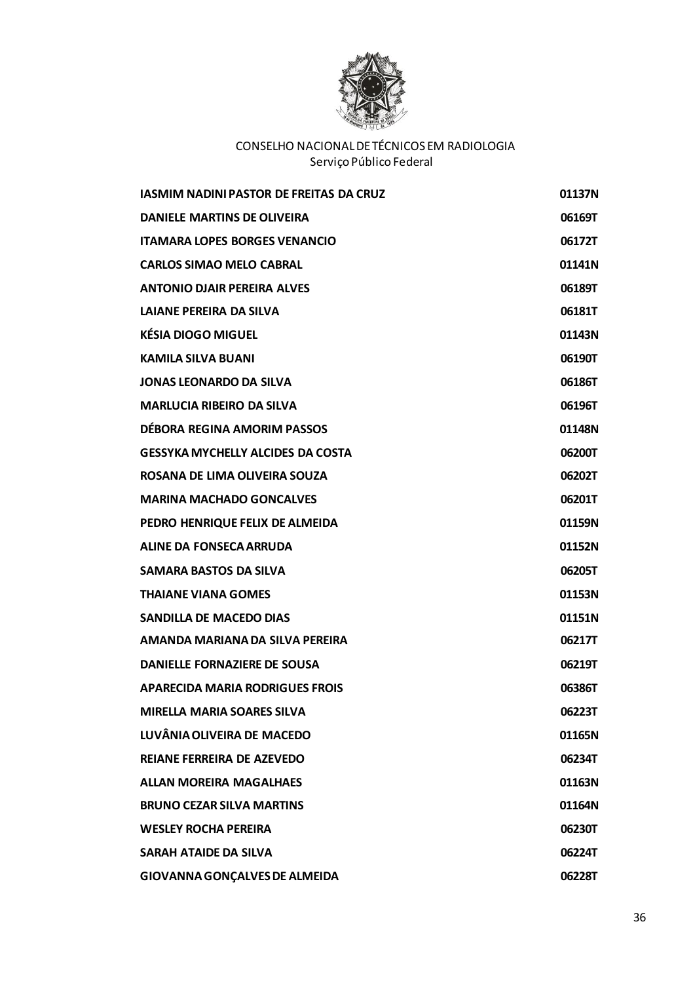

| <b>IASMIM NADINI PASTOR DE FREITAS DA CRUZ</b> | 01137N |
|------------------------------------------------|--------|
| <b>DANIELE MARTINS DE OLIVEIRA</b>             | 06169T |
| <b>ITAMARA LOPES BORGES VENANCIO</b>           | 06172T |
| <b>CARLOS SIMAO MELO CABRAL</b>                | 01141N |
| <b>ANTONIO DJAIR PEREIRA ALVES</b>             | 06189T |
| LAIANE PEREIRA DA SILVA                        | 06181T |
| <b>KÉSIA DIOGO MIGUEL</b>                      | 01143N |
| <b>KAMILA SILVA BUANI</b>                      | 06190T |
| <b>JONAS LEONARDO DA SILVA</b>                 | 06186T |
| <b>MARLUCIA RIBEIRO DA SILVA</b>               | 06196T |
| DÉBORA REGINA AMORIM PASSOS                    | 01148N |
| <b>GESSYKA MYCHELLY ALCIDES DA COSTA</b>       | 06200T |
| ROSANA DE LIMA OLIVEIRA SOUZA                  | 06202T |
| <b>MARINA MACHADO GONCALVES</b>                | 06201T |
| PEDRO HENRIQUE FELIX DE ALMEIDA                | 01159N |
| ALINE DA FONSECA ARRUDA                        | 01152N |
| <b>SAMARA BASTOS DA SILVA</b>                  | 06205T |
| <b>THAIANE VIANA GOMES</b>                     | 01153N |
| <b>SANDILLA DE MACEDO DIAS</b>                 | 01151N |
| AMANDA MARIANA DA SILVA PEREIRA                | 06217T |
| <b>DANIELLE FORNAZIERE DE SOUSA</b>            | 06219T |
| <b>APARECIDA MARIA RODRIGUES FROIS</b>         | 06386T |
| <b>MIRELLA MARIA SOARES SILVA</b>              | 06223T |
| LUVÂNIA OLIVEIRA DE MACEDO                     | 01165N |
| <b>REIANE FERREIRA DE AZEVEDO</b>              | 06234T |
| <b>ALLAN MOREIRA MAGALHAES</b>                 | 01163N |
| <b>BRUNO CEZAR SILVA MARTINS</b>               | 01164N |
| <b>WESLEY ROCHA PEREIRA</b>                    | 06230T |
| <b>SARAH ATAIDE DA SILVA</b>                   | 06224T |
| <b>GIOVANNA GONÇALVES DE ALMEIDA</b>           | 06228T |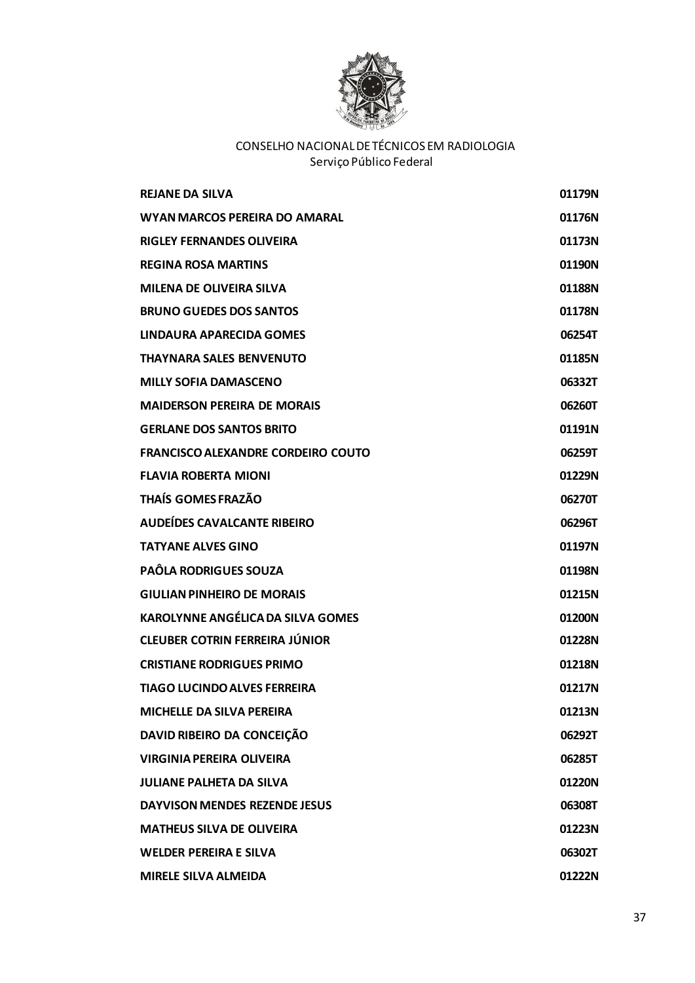

| <b>REJANE DA SILVA</b>                    | 01179N |
|-------------------------------------------|--------|
| <b>WYAN MARCOS PEREIRA DO AMARAL</b>      | 01176N |
| <b>RIGLEY FERNANDES OLIVEIRA</b>          | 01173N |
| <b>REGINA ROSA MARTINS</b>                | 01190N |
| <b>MILENA DE OLIVEIRA SILVA</b>           | 01188N |
| <b>BRUNO GUEDES DOS SANTOS</b>            | 01178N |
| LINDAURA APARECIDA GOMES                  | 06254T |
| <b>THAYNARA SALES BENVENUTO</b>           | 01185N |
| <b>MILLY SOFIA DAMASCENO</b>              | 06332T |
| <b>MAIDERSON PEREIRA DE MORAIS</b>        | 06260T |
| <b>GERLANE DOS SANTOS BRITO</b>           | 01191N |
| <b>FRANCISCO ALEXANDRE CORDEIRO COUTO</b> | 06259T |
| <b>FLAVIA ROBERTA MIONI</b>               | 01229N |
| <b>THAÍS GOMES FRAZÃO</b>                 | 06270T |
| <b>AUDEÍDES CAVALCANTE RIBEIRO</b>        | 06296T |
| <b>TATYANE ALVES GINO</b>                 | 01197N |
| <b>PAÔLA RODRIGUES SOUZA</b>              | 01198N |
| <b>GIULIAN PINHEIRO DE MORAIS</b>         | 01215N |
| <b>KAROLYNNE ANGÉLICA DA SILVA GOMES</b>  | 01200N |
| <b>CLEUBER COTRIN FERREIRA JÚNIOR</b>     | 01228N |
| <b>CRISTIANE RODRIGUES PRIMO</b>          | 01218N |
| <b>TIAGO LUCINDO ALVES FERREIRA</b>       | 01217N |
| MICHELLE DA SILVA PEREIRA                 | 01213N |
| DAVID RIBEIRO DA CONCEIÇÃO                | 06292T |
| <b>VIRGINIA PEREIRA OLIVEIRA</b>          | 06285T |
| <b>JULIANE PALHETA DA SILVA</b>           | 01220N |
| <b>DAYVISON MENDES REZENDE JESUS</b>      | 06308T |
| <b>MATHEUS SILVA DE OLIVEIRA</b>          | 01223N |
| <b>WELDER PEREIRA E SILVA</b>             | 06302T |
| <b>MIRELE SILVA ALMEIDA</b>               | 01222N |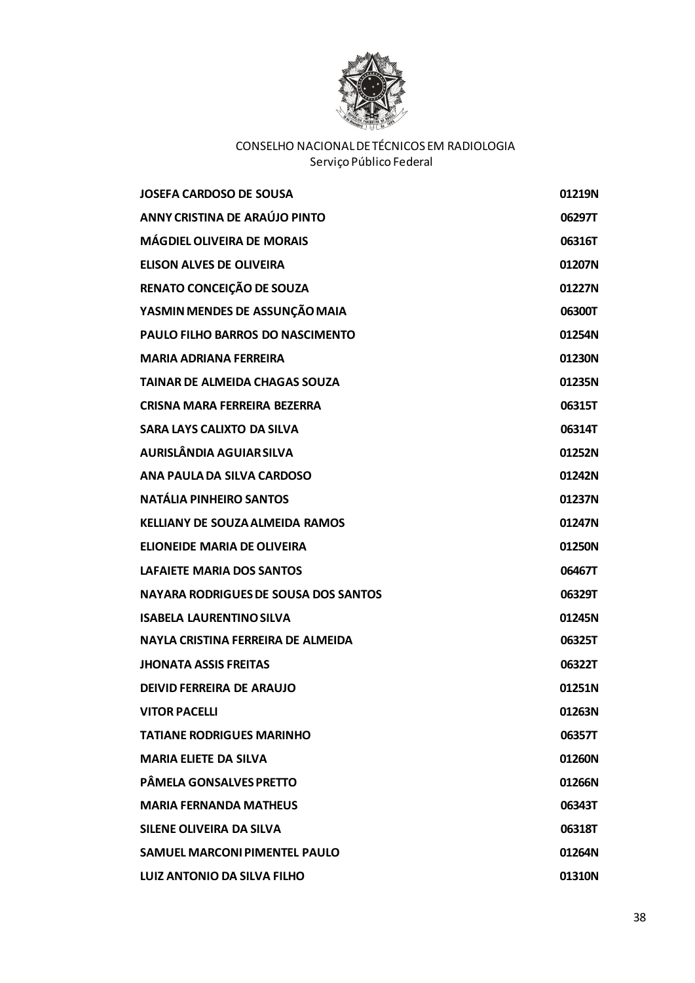

| <b>JOSEFA CARDOSO DE SOUSA</b>              | 01219N |
|---------------------------------------------|--------|
| ANNY CRISTINA DE ARAÚJO PINTO               | 06297T |
| <b>MÁGDIEL OLIVEIRA DE MORAIS</b>           | 06316T |
| <b>ELISON ALVES DE OLIVEIRA</b>             | 01207N |
| RENATO CONCEIÇÃO DE SOUZA                   | 01227N |
| YASMIN MENDES DE ASSUNÇÃO MAIA              | 06300T |
| <b>PAULO FILHO BARROS DO NASCIMENTO</b>     | 01254N |
| <b>MARIA ADRIANA FERREIRA</b>               | 01230N |
| <b>TAINAR DE ALMEIDA CHAGAS SOUZA</b>       | 01235N |
| CRISNA MARA FERREIRA BEZERRA                | 06315T |
| SARA LAYS CALIXTO DA SILVA                  | 06314T |
| <b>AURISLÂNDIA AGUIAR SILVA</b>             | 01252N |
| ANA PAULA DA SILVA CARDOSO                  | 01242N |
| <b>NATÁLIA PINHEIRO SANTOS</b>              | 01237N |
| <b>KELLIANY DE SOUZA ALMEIDA RAMOS</b>      | 01247N |
| ELIONEIDE MARIA DE OLIVEIRA                 | 01250N |
| LAFAIETE MARIA DOS SANTOS                   | 06467T |
| <b>NAYARA RODRIGUES DE SOUSA DOS SANTOS</b> | 06329T |
| <b>ISABELA LAURENTINO SILVA</b>             | 01245N |
| NAYLA CRISTINA FERREIRA DE ALMEIDA          | 06325T |
| <b>JHONATA ASSIS FREITAS</b>                | 06322T |
| <b>DEIVID FERREIRA DE ARAUJO</b>            | 01251N |
| <b>VITOR PACELLI</b>                        | 01263N |
| <b>TATIANE RODRIGUES MARINHO</b>            | 06357T |
| <b>MARIA ELIETE DA SILVA</b>                | 01260N |
| <b>PÂMELA GONSALVES PRETTO</b>              | 01266N |
| <b>MARIA FERNANDA MATHEUS</b>               | 06343T |
| <b>SILENE OLIVEIRA DA SILVA</b>             | 06318T |
| <b>SAMUEL MARCONI PIMENTEL PAULO</b>        | 01264N |
| <b>LUIZ ANTONIO DA SILVA FILHO</b>          | 01310N |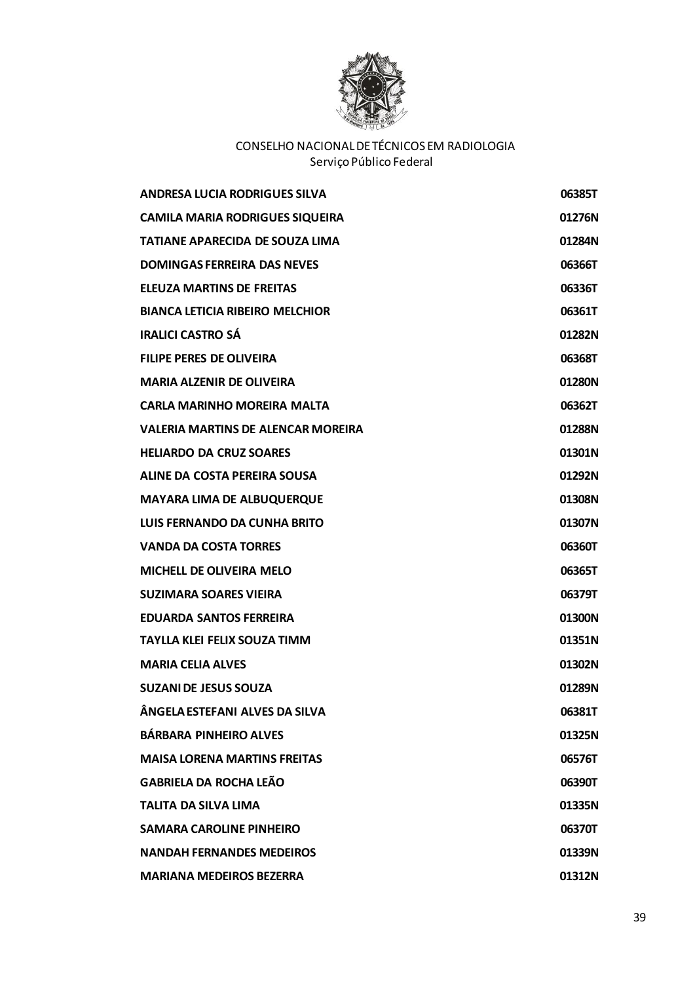

| <b>ANDRESA LUCIA RODRIGUES SILVA</b>      | 06385T |
|-------------------------------------------|--------|
| <b>CAMILA MARIA RODRIGUES SIQUEIRA</b>    | 01276N |
| <b>TATIANE APARECIDA DE SOUZA LIMA</b>    | 01284N |
| <b>DOMINGAS FERREIRA DAS NEVES</b>        | 06366T |
| <b>ELEUZA MARTINS DE FREITAS</b>          | 06336T |
| <b>BIANCA LETICIA RIBEIRO MELCHIOR</b>    | 06361T |
| <b>IRALICI CASTRO SÁ</b>                  | 01282N |
| <b>FILIPE PERES DE OLIVEIRA</b>           | 06368T |
| <b>MARIA ALZENIR DE OLIVEIRA</b>          | 01280N |
| <b>CARLA MARINHO MOREIRA MALTA</b>        | 06362T |
| <b>VALERIA MARTINS DE ALENCAR MOREIRA</b> | 01288N |
| <b>HELIARDO DA CRUZ SOARES</b>            | 01301N |
| <b>ALINE DA COSTA PEREIRA SOUSA</b>       | 01292N |
| <b>MAYARA LIMA DE ALBUQUERQUE</b>         | 01308N |
| LUIS FERNANDO DA CUNHA BRITO              | 01307N |
| <b>VANDA DA COSTA TORRES</b>              | 06360T |
| <b>MICHELL DE OLIVEIRA MELO</b>           | 06365T |
| <b>SUZIMARA SOARES VIEIRA</b>             | 06379T |
| <b>EDUARDA SANTOS FERREIRA</b>            | 01300N |
| <b>TAYLLA KLEI FELIX SOUZA TIMM</b>       | 01351N |
| <b>MARIA CELIA ALVES</b>                  | 01302N |
| <b>SUZANI DE JESUS SOUZA</b>              | 01289N |
| ÂNGELA ESTEFANI ALVES DA SILVA            | 06381T |
| <b>BÁRBARA PINHEIRO ALVES</b>             | 01325N |
| <b>MAISA LORENA MARTINS FREITAS</b>       | 06576T |
| <b>GABRIELA DA ROCHA LEÃO</b>             | 06390T |
| <b>TALITA DA SILVA LIMA</b>               | 01335N |
| <b>SAMARA CAROLINE PINHEIRO</b>           | 06370T |
| <b>NANDAH FERNANDES MEDEIROS</b>          | 01339N |
| <b>MARIANA MEDEIROS BEZERRA</b>           | 01312N |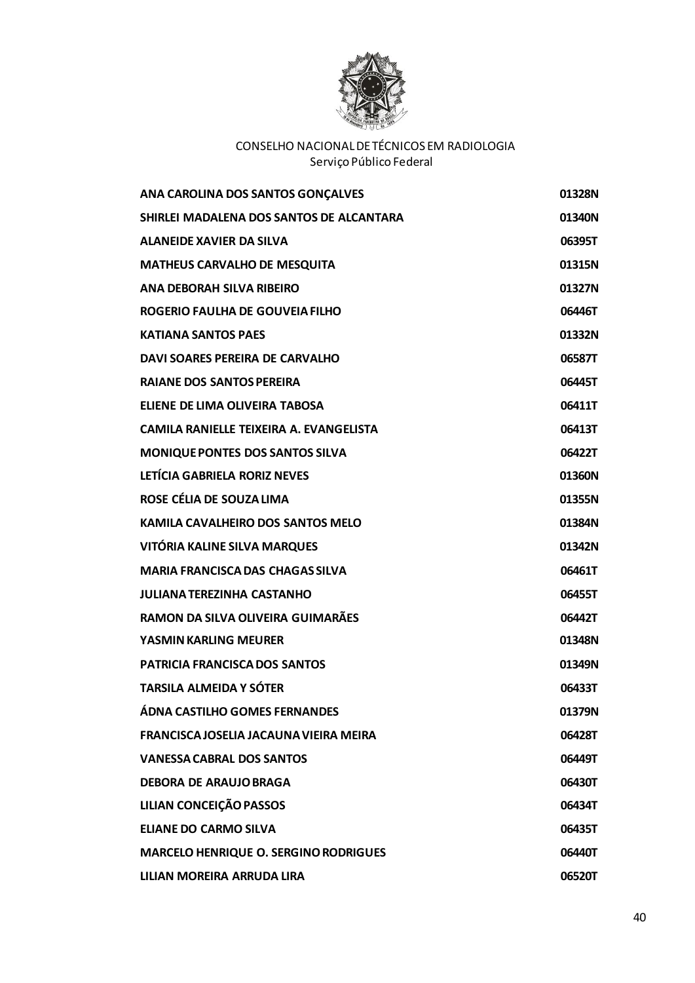

| ANA CAROLINA DOS SANTOS GONÇALVES            | 01328N |
|----------------------------------------------|--------|
| SHIRLEI MADALENA DOS SANTOS DE ALCANTARA     | 01340N |
| ALANEIDE XAVIER DA SILVA                     | 06395T |
| <b>MATHEUS CARVALHO DE MESQUITA</b>          | 01315N |
| <b>ANA DEBORAH SILVA RIBEIRO</b>             | 01327N |
| ROGERIO FAULHA DE GOUVEIA FILHO              | 06446T |
| <b>KATIANA SANTOS PAES</b>                   | 01332N |
| DAVI SOARES PEREIRA DE CARVALHO              | 06587T |
| <b>RAIANE DOS SANTOS PEREIRA</b>             | 06445T |
| ELIENE DE LIMA OLIVEIRA TABOSA               | 06411T |
| CAMILA RANIFLLF TFIXFIRA A. FVANGFLISTA      | 06413T |
| <b>MONIQUE PONTES DOS SANTOS SILVA</b>       | 06422T |
| LETÍCIA GABRIELA RORIZ NEVES                 | 01360N |
| ROSE CÉLIA DE SOUZA LIMA                     | 01355N |
| KAMILA CAVALHEIRO DOS SANTOS MELO            | 01384N |
| VITÓRIA KALINE SILVA MARQUES                 | 01342N |
| <b>MARIA FRANCISCA DAS CHAGAS SILVA</b>      | 06461T |
| <b>JULIANA TEREZINHA CASTANHO</b>            | 06455T |
| RAMON DA SILVA OLIVEIRA GUIMARÃES            | 06442T |
| YASMIN KARLING MEURER                        | 01348N |
| PATRICIA FRANCISCA DOS SANTOS                | 01349N |
| <b>TARSILA ALMEIDA Y SÓTER</b>               | 06433T |
| ÁDNA CASTILHO GOMES FERNANDES                | 01379N |
| FRANCISCA JOSELIA JACAUNA VIEIRA MEIRA       | 06428T |
| <b>VANESSA CABRAL DOS SANTOS</b>             | 06449T |
| <b>DEBORA DE ARAUJO BRAGA</b>                | 06430T |
| LILIAN CONCEIÇÃO PASSOS                      | 06434T |
| <b>ELIANE DO CARMO SILVA</b>                 | 06435T |
| <b>MARCELO HENRIQUE O. SERGINO RODRIGUES</b> | 06440T |
| LILIAN MOREIRA ARRUDA LIRA                   | 06520T |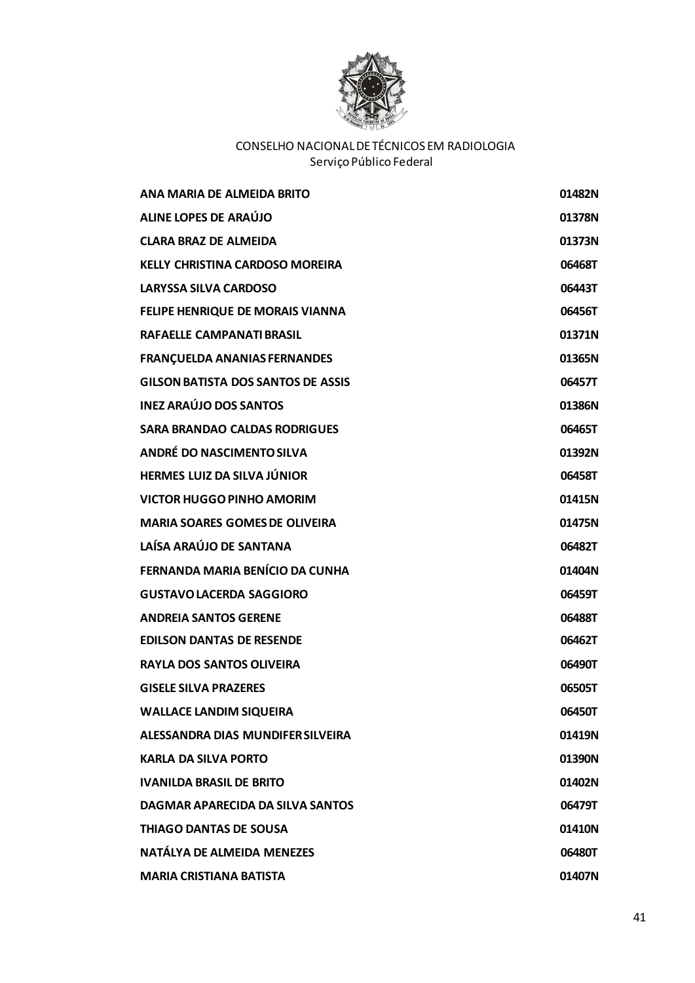

| ANA MARIA DE ALMEIDA BRITO                | 01482N |
|-------------------------------------------|--------|
| ALINE LOPES DE ARAÚJO                     | 01378N |
| <b>CLARA BRAZ DE ALMEIDA</b>              | 01373N |
| <b>KELLY CHRISTINA CARDOSO MOREIRA</b>    | 06468T |
| <b>LARYSSA SILVA CARDOSO</b>              | 06443T |
| FELIPE HENRIQUE DE MORAIS VIANNA          | 06456T |
| <b>RAFAELLE CAMPANATI BRASIL</b>          | 01371N |
| <b>FRANÇUELDA ANANIAS FERNANDES</b>       | 01365N |
| <b>GILSON BATISTA DOS SANTOS DE ASSIS</b> | 06457T |
| <b>INEZ ARAÚJO DOS SANTOS</b>             | 01386N |
| <b>SARA BRANDAO CALDAS RODRIGUES</b>      | 06465T |
| ANDRÉ DO NASCIMENTO SILVA                 | 01392N |
| <b>HERMES LUIZ DA SILVA JÚNIOR</b>        | 06458T |
| <b>VICTOR HUGGO PINHO AMORIM</b>          | 01415N |
| <b>MARIA SOARES GOMES DE OLIVEIRA</b>     | 01475N |
| LAÍSA ARAÚJO DE SANTANA                   | 06482T |
| FERNANDA MARIA BENÍCIO DA CUNHA           | 01404N |
| <b>GUSTAVO LACERDA SAGGIORO</b>           | 06459T |
| <b>ANDREIA SANTOS GERENE</b>              | 06488T |
| <b>EDILSON DANTAS DE RESENDE</b>          | 06462T |
| <b>RAYLA DOS SANTOS OLIVEIRA</b>          | 06490T |
| <b>GISELE SILVA PRAZERES</b>              | 06505T |
| <b>WALLACE LANDIM SIQUEIRA</b>            | 06450T |
| ALESSANDRA DIAS MUNDIFER SILVEIRA         | 01419N |
| <b>KARLA DA SILVA PORTO</b>               | 01390N |
| <b>IVANILDA BRASIL DE BRITO</b>           | 01402N |
| DAGMAR APARECIDA DA SILVA SANTOS          | 06479T |
| <b>THIAGO DANTAS DE SOUSA</b>             | 01410N |
| NATÁLYA DE ALMEIDA MENEZES                | 06480T |
| <b>MARIA CRISTIANA BATISTA</b>            | 01407N |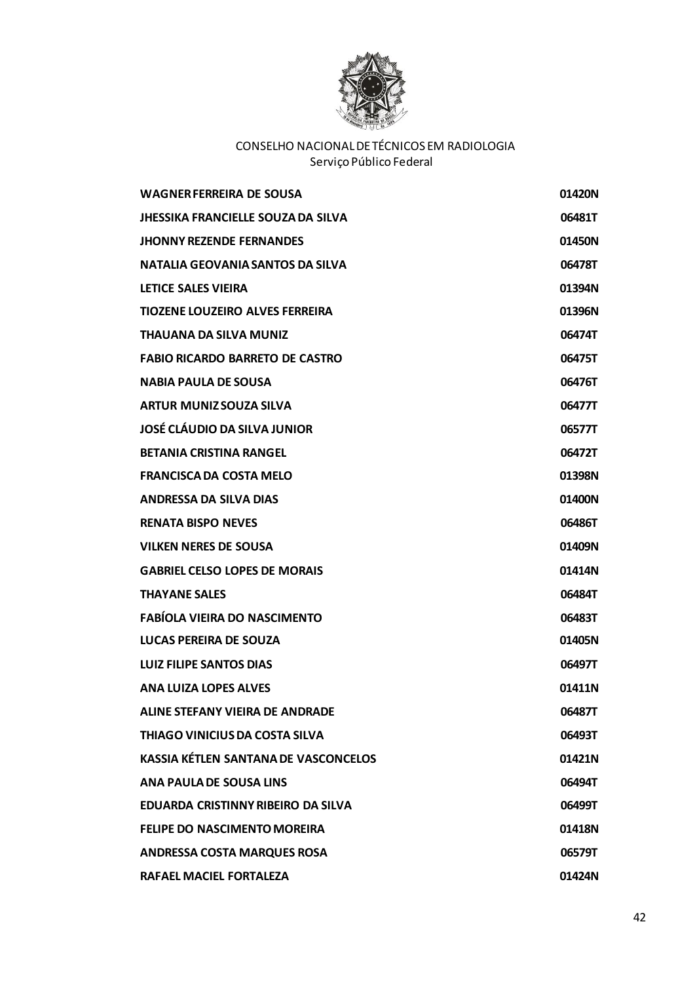

| <b>WAGNER FERREIRA DE SOUSA</b>             | 01420N |
|---------------------------------------------|--------|
| <b>JHESSIKA FRANCIELLE SOUZA DA SILVA</b>   | 06481T |
| <b>JHONNY REZENDE FERNANDES</b>             | 01450N |
| NATALIA GEOVANIA SANTOS DA SILVA            | 06478T |
| <b>LETICE SALES VIEIRA</b>                  | 01394N |
| <b>TIOZENE LOUZEIRO ALVES FERREIRA</b>      | 01396N |
| <b>THAUANA DA SILVA MUNIZ</b>               | 06474T |
| <b>FABIO RICARDO BARRETO DE CASTRO</b>      | 06475T |
| <b>NABIA PAULA DE SOUSA</b>                 | 06476T |
| <b>ARTUR MUNIZ SOUZA SILVA</b>              | 06477T |
| JOSÉ CLÁUDIO DA SILVA JUNIOR                | 06577T |
| <b>BETANIA CRISTINA RANGEL</b>              | 06472T |
| <b>FRANCISCA DA COSTA MELO</b>              | 01398N |
| <b>ANDRESSA DA SILVA DIAS</b>               | 01400N |
| <b>RENATA BISPO NEVES</b>                   | 06486T |
| <b>VILKEN NERES DE SOUSA</b>                | 01409N |
| <b>GABRIEL CELSO LOPES DE MORAIS</b>        | 01414N |
| <b>THAYANE SALES</b>                        | 06484T |
| <b>FABÍOLA VIEIRA DO NASCIMENTO</b>         | 06483T |
| LUCAS PEREIRA DE SOUZA                      | 01405N |
| <b>LUIZ FILIPE SANTOS DIAS</b>              | 06497T |
| <b>ANA LUIZA LOPES ALVES</b>                | 01411N |
| <b>ALINE STEFANY VIEIRA DE ANDRADE</b>      | 06487T |
| <b>THIAGO VINICIUS DA COSTA SILVA</b>       | 06493T |
| <b>KASSIA KÉTLEN SANTANA DE VASCONCELOS</b> | 01421N |
| <b>ANA PAULA DE SOUSA LINS</b>              | 06494T |
| EDUARDA CRISTINNY RIBEIRO DA SILVA          | 06499T |
| FELIPE DO NASCIMENTO MOREIRA                | 01418N |
| <b>ANDRESSA COSTA MARQUES ROSA</b>          | 06579T |
| RAFAEL MACIEL FORTALEZA                     | 01424N |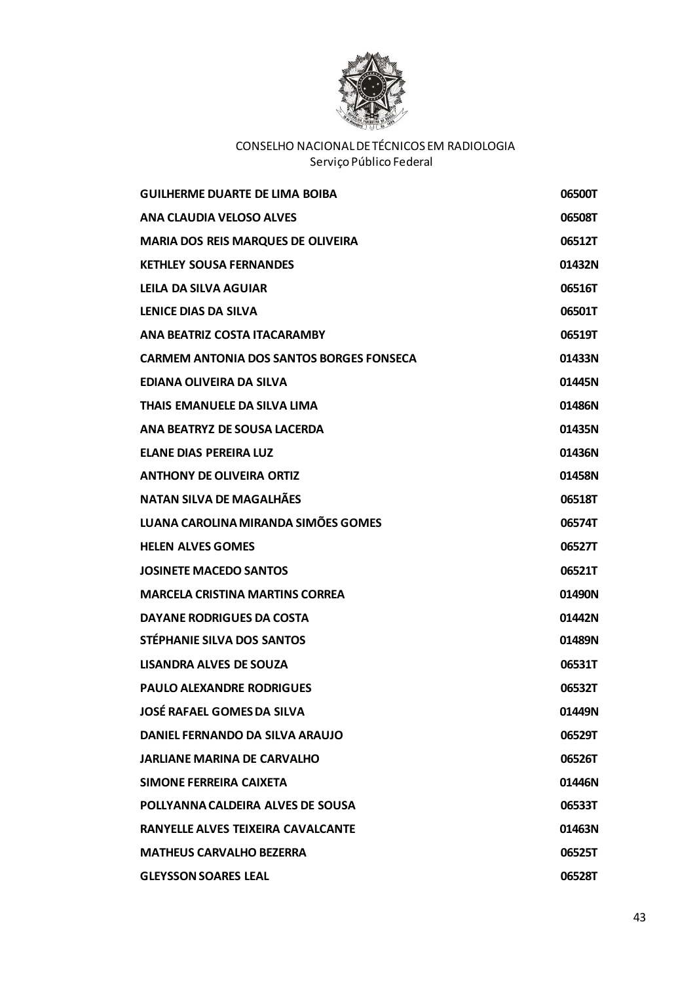

| <b>GUILHERME DUARTE DE LIMA BOIBA</b>           | 06500T |
|-------------------------------------------------|--------|
| ANA CLAUDIA VELOSO ALVES                        | 06508T |
| <b>MARIA DOS REIS MARQUES DE OLIVEIRA</b>       | 06512T |
| <b>KETHLEY SOUSA FERNANDES</b>                  | 01432N |
| LEILA DA SILVA AGUIAR                           | 06516T |
| LENICE DIAS DA SILVA                            | 06501T |
| ANA BEATRIZ COSTA ITACARAMBY                    | 06519T |
| <b>CARMEM ANTONIA DOS SANTOS BORGES FONSECA</b> | 01433N |
| EDIANA OLIVEIRA DA SILVA                        | 01445N |
| THAIS EMANUELE DA SILVA LIMA                    | 01486N |
| ANA BEATRYZ DE SOUSA LACERDA                    | 01435N |
| <b>ELANE DIAS PEREIRA LUZ</b>                   | 01436N |
| <b>ANTHONY DE OLIVEIRA ORTIZ</b>                | 01458N |
| <b>NATAN SILVA DE MAGALHÃES</b>                 | 06518T |
| LUANA CAROLINA MIRANDA SIMÕES GOMES             | 06574T |
| <b>HELEN ALVES GOMES</b>                        | 06527T |
| <b>JOSINETE MACEDO SANTOS</b>                   | 06521T |
| <b>MARCELA CRISTINA MARTINS CORREA</b>          | 01490N |
| DAYANE RODRIGUES DA COSTA                       | 01442N |
| STÉPHANIE SILVA DOS SANTOS                      | 01489N |
| <b>LISANDRA ALVES DE SOUZA</b>                  | 06531T |
| <b>PAULO ALEXANDRE RODRIGUES</b>                | 06532T |
| <b>JOSÉ RAFAEL GOMES DA SILVA</b>               | 01449N |
| DANIEL FERNANDO DA SILVA ARAUJO                 | 06529T |
| <b>JARLIANE MARINA DE CARVALHO</b>              | 06526T |
| SIMONE FERREIRA CAIXETA                         | 01446N |
| POLLYANNA CALDEIRA ALVES DE SOUSA               | 06533T |
| RANYELLE ALVES TEIXEIRA CAVALCANTE              | 01463N |
| <b>MATHEUS CARVALHO BEZERRA</b>                 | 06525T |
| <b>GLEYSSON SOARES LEAL</b>                     | 06528T |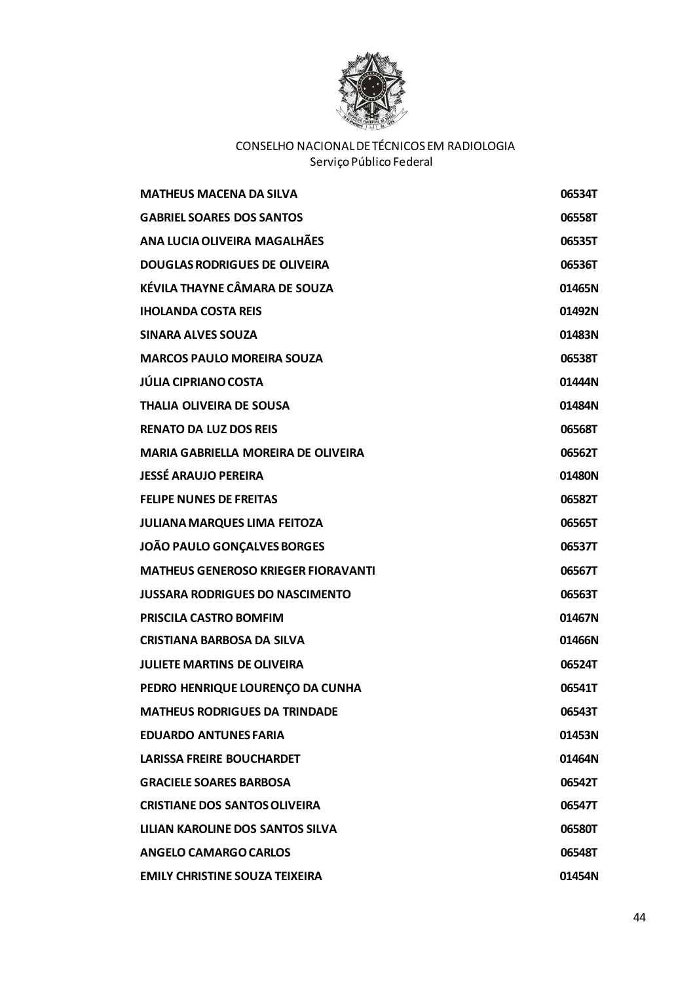

| <b>MATHEUS MACENA DA SILVA</b>             | 06534T |
|--------------------------------------------|--------|
| <b>GABRIEL SOARES DOS SANTOS</b>           | 06558T |
| ANA LUCIA OLIVEIRA MAGALHÃES               | 06535T |
| <b>DOUGLAS RODRIGUES DE OLIVEIRA</b>       | 06536T |
| KÉVILA THAYNE CÂMARA DE SOUZA              | 01465N |
| <b>IHOLANDA COSTA REIS</b>                 | 01492N |
| <b>SINARA ALVES SOUZA</b>                  | 01483N |
| <b>MARCOS PAULO MOREIRA SOUZA</b>          | 06538T |
| <b>JÚLIA CIPRIANO COSTA</b>                | 01444N |
| <b>THALIA OLIVEIRA DE SOUSA</b>            | 01484N |
| <b>RENATO DA LUZ DOS REIS</b>              | 06568T |
| <b>MARIA GABRIELLA MOREIRA DE OLIVEIRA</b> | 06562T |
| <b>JESSÉ ARAUJO PEREIRA</b>                | 01480N |
| <b>FELIPE NUNES DE FREITAS</b>             | 06582T |
| JULIANA MARQUES LIMA FEITOZA               | 06565T |
| JOÃO PAULO GONÇALVES BORGES                | 06537T |
| <b>MATHEUS GENEROSO KRIEGER FIORAVANTI</b> | 06567T |
| <b>JUSSARA RODRIGUES DO NASCIMENTO</b>     | 06563T |
| PRISCILA CASTRO BOMFIM                     | 01467N |
| <b>CRISTIANA BARBOSA DA SILVA</b>          | 01466N |
| <b>JULIETE MARTINS DE OLIVEIRA</b>         | 06524T |
| PEDRO HENRIQUE LOURENÇO DA CUNHA           | 06541T |
| <b>MATHEUS RODRIGUES DA TRINDADE</b>       | 06543T |
| <b>EDUARDO ANTUNES FARIA</b>               | 01453N |
| <b>LARISSA FREIRE BOUCHARDET</b>           | 01464N |
| <b>GRACIELE SOARES BARBOSA</b>             | 06542T |
| <b>CRISTIANE DOS SANTOS OLIVEIRA</b>       | 06547T |
| LILIAN KAROLINE DOS SANTOS SILVA           | 06580T |
| <b>ANGELO CAMARGO CARLOS</b>               | 06548T |
| <b>EMILY CHRISTINE SOUZA TEIXEIRA</b>      | 01454N |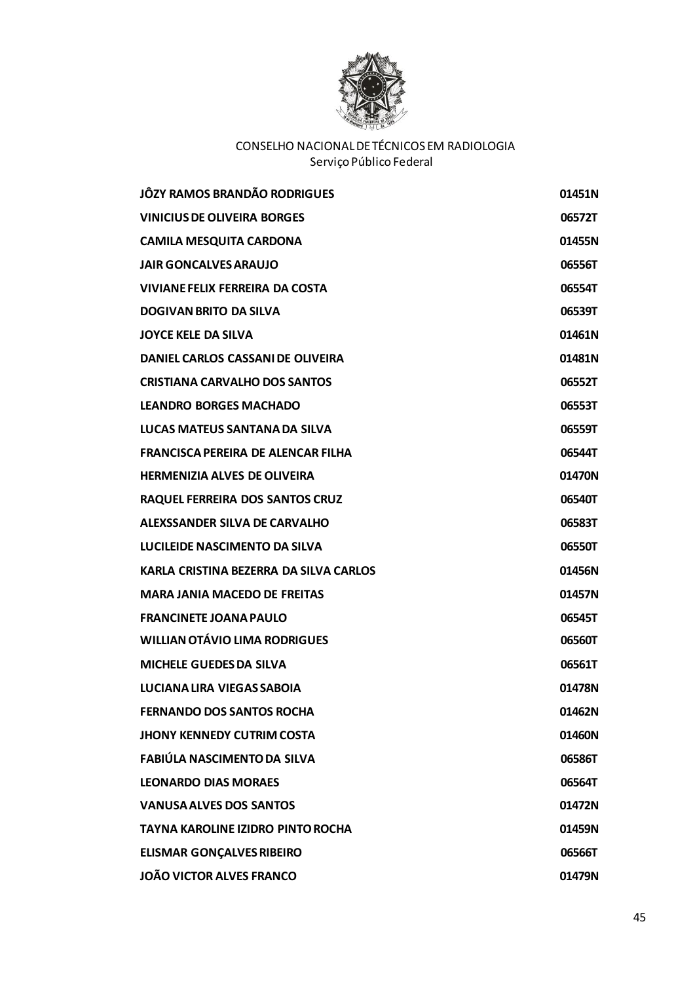

| JÔZY RAMOS BRANDÃO RODRIGUES              | 01451N |
|-------------------------------------------|--------|
| <b>VINICIUS DE OLIVEIRA BORGES</b>        | 06572T |
| <b>CAMILA MESQUITA CARDONA</b>            | 01455N |
| <b>JAIR GONCALVES ARAUJO</b>              | 06556T |
| <b>VIVIANE FELIX FERREIRA DA COSTA</b>    | 06554T |
| <b>DOGIVAN BRITO DA SILVA</b>             | 06539T |
| <b>JOYCE KELE DA SILVA</b>                | 01461N |
| DANIEL CARLOS CASSANI DE OLIVEIRA         | 01481N |
| <b>CRISTIANA CARVALHO DOS SANTOS</b>      | 06552T |
| <b>LEANDRO BORGES MACHADO</b>             | 06553T |
| LUCAS MATEUS SANTANA DA SILVA             | 06559T |
| <b>FRANCISCA PEREIRA DE ALENCAR FILHA</b> | 06544T |
| <b>HERMENIZIA ALVES DE OLIVEIRA</b>       | 01470N |
| RAQUEL FERREIRA DOS SANTOS CRUZ           | 06540T |
| ALEXSSANDER SILVA DE CARVALHO             | 06583T |
| LUCILEIDE NASCIMENTO DA SILVA             | 06550T |
| KARLA CRISTINA BEZERRA DA SILVA CARLOS    | 01456N |
| <b>MARA JANIA MACEDO DE FREITAS</b>       | 01457N |
| <b>FRANCINETE JOANA PAULO</b>             | 06545T |
| <b>WILLIAN OTÁVIO LIMA RODRIGUES</b>      | 06560T |
| <b>MICHELE GUEDES DA SILVA</b>            | 06561T |
| LUCIANA LIRA VIEGAS SABOIA                | 01478N |
| <b>FERNANDO DOS SANTOS ROCHA</b>          | 01462N |
| <b>JHONY KENNEDY CUTRIM COSTA</b>         | 01460N |
| FABIÚLA NASCIMENTO DA SILVA               | 06586T |
| <b>LEONARDO DIAS MORAES</b>               | 06564T |
| <b>VANUSA ALVES DOS SANTOS</b>            | 01472N |
| <b>TAYNA KAROLINE IZIDRO PINTO ROCHA</b>  | 01459N |
| <b>ELISMAR GONÇALVES RIBEIRO</b>          | 06566T |
| <b>JOÃO VICTOR ALVES FRANCO</b>           | 01479N |